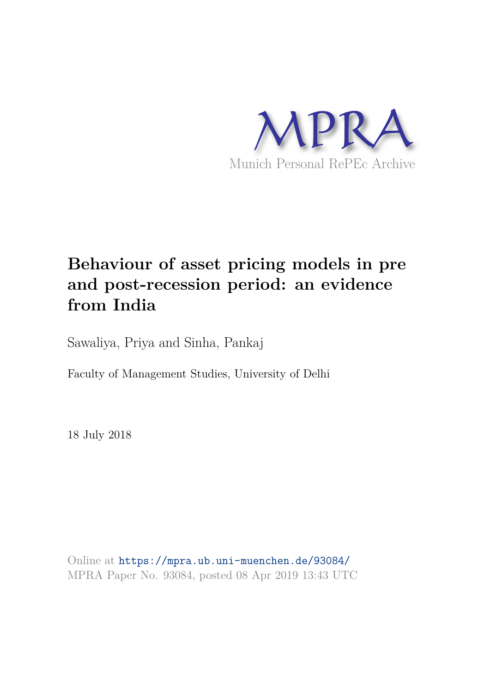

# **Behaviour of asset pricing models in pre and post-recession period: an evidence from India**

Sawaliya, Priya and Sinha, Pankaj

Faculty of Management Studies, University of Delhi

18 July 2018

Online at https://mpra.ub.uni-muenchen.de/93084/ MPRA Paper No. 93084, posted 08 Apr 2019 13:43 UTC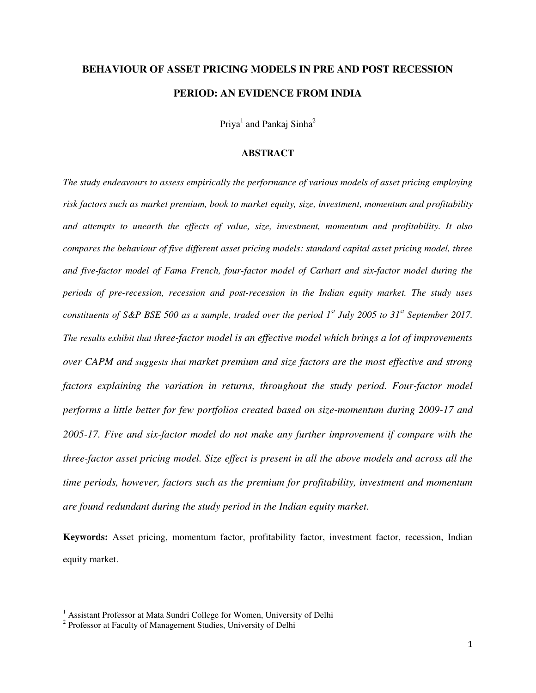# **BEHAVIOUR OF ASSET PRICING MODELS IN PRE AND POST RECESSION PERIOD: AN EVIDENCE FROM INDIA**

 $Priya<sup>1</sup>$  and Pankaj Sinha<sup>2</sup>

#### **ABSTRACT**

*The study endeavours to assess empirically the performance of various models of asset pricing employing risk factors such as market premium, book to market equity, size, investment, momentum and profitability and attempts to unearth the effects of value, size, investment, momentum and profitability. It also compares the behaviour of five different asset pricing models: standard capital asset pricing model, three and five-factor model of Fama French, four-factor model of Carhart and six-factor model during the periods of pre-recession, recession and post-recession in the Indian equity market. The study uses constituents of S&P BSE 500 as a sample, traded over the period 1st July 2005 to 31st September 2017. The results exhibit that three-factor model is an effective model which brings a lot of improvements over CAPM and suggests that market premium and size factors are the most effective and strong factors explaining the variation in returns, throughout the study period. Four-factor model performs a little better for few portfolios created based on size-momentum during 2009-17 and 2005-17. Five and six-factor model do not make any further improvement if compare with the three-factor asset pricing model. Size effect is present in all the above models and across all the time periods, however, factors such as the premium for profitability, investment and momentum are found redundant during the study period in the Indian equity market.* 

**Keywords:** Asset pricing, momentum factor, profitability factor, investment factor, recession, Indian equity market.

 $\overline{a}$ 

<sup>&</sup>lt;sup>1</sup> Assistant Professor at Mata Sundri College for Women, University of Delhi

<sup>&</sup>lt;sup>2</sup> Professor at Faculty of Management Studies, University of Delhi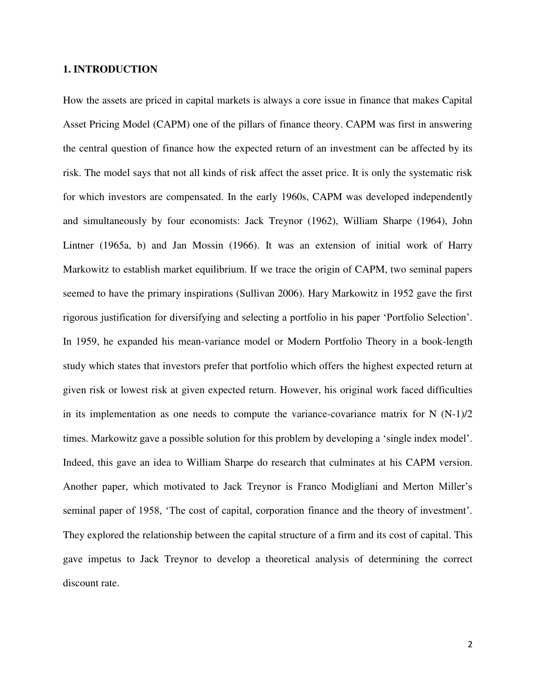### **1. INTRODUCTION**

How the assets are priced in capital markets is always a core issue in finance that makes Capital Asset Pricing Model (CAPM) one of the pillars of finance theory. CAPM was first in answering the central question of finance how the expected return of an investment can be affected by its risk. The model says that not all kinds of risk affect the asset price. It is only the systematic risk for which investors are compensated. In the early 1960s, CAPM was developed independently and simultaneously by four economists: Jack Treynor (1962), William Sharpe (1964), John Lintner (1965a, b) and Jan Mossin (1966). It was an extension of initial work of [Harry](https://en.wikipedia.org/wiki/Harry_Markowitz)  [Markowitz](https://en.wikipedia.org/wiki/Harry_Markowitz) to establish market equilibrium. If we trace the origin of CAPM, two seminal papers seemed to have the primary inspirations (Sullivan 2006). Hary Markowitz in 1952 gave the first rigorous justification for diversifying and selecting a portfolio in his paper 'Portfolio Selection'. In 1959, he expanded his mean-variance model or Modern Portfolio Theory in a book-length study which states that investors prefer that portfolio which offers the highest expected return at given risk or lowest risk at given expected return. However, his original work faced difficulties in its implementation as one needs to compute the variance-covariance matrix for  $N(N-1)/2$ times. Markowitz gave a possible solution for this problem by developing a 'single index model'. Indeed, this gave an idea to William Sharpe do research that culminates at his CAPM version. Another paper, which motivated to Jack Treynor is Franco Modigliani and Merton Miller's seminal paper of 1958, 'The cost of capital, corporation finance and the theory of investment'. They explored the relationship between the capital structure of a firm and its cost of capital. This gave impetus to Jack Treynor to develop a theoretical analysis of determining the correct discount rate.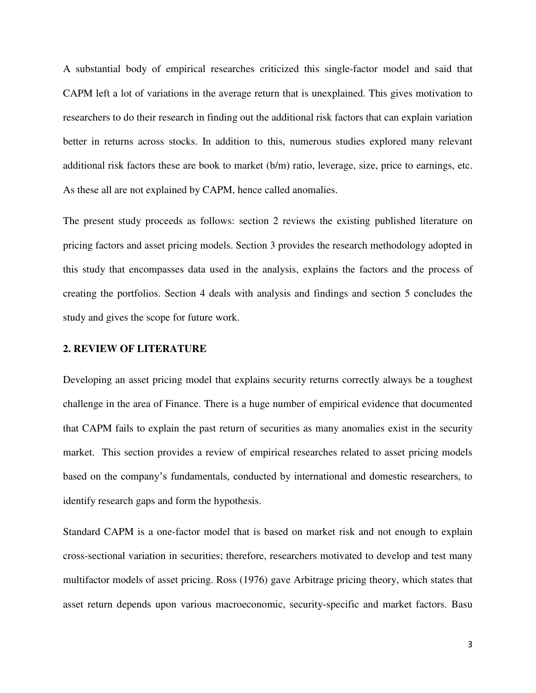A substantial body of empirical researches criticized this single-factor model and said that CAPM left a lot of variations in the average return that is unexplained. This gives motivation to researchers to do their research in finding out the additional risk factors that can explain variation better in returns across stocks. In addition to this, numerous studies explored many relevant additional risk factors these are book to market (b/m) ratio, leverage, size, price to earnings, etc. As these all are not explained by CAPM, hence called anomalies.

The present study proceeds as follows: section 2 reviews the existing published literature on pricing factors and asset pricing models. Section 3 provides the research methodology adopted in this study that encompasses data used in the analysis, explains the factors and the process of creating the portfolios. Section 4 deals with analysis and findings and section 5 concludes the study and gives the scope for future work.

### **2. REVIEW OF LITERATURE**

Developing an asset pricing model that explains security returns correctly always be a toughest challenge in the area of Finance. There is a huge number of empirical evidence that documented that CAPM fails to explain the past return of securities as many anomalies exist in the security market. This section provides a review of empirical researches related to asset pricing models based on the company's fundamentals, conducted by international and domestic researchers, to identify research gaps and form the hypothesis.

Standard CAPM is a one-factor model that is based on market risk and not enough to explain cross-sectional variation in securities; therefore, researchers motivated to develop and test many multifactor models of asset pricing. Ross (1976) gave Arbitrage pricing theory, which states that asset return depends upon various macroeconomic, security-specific and market factors. Basu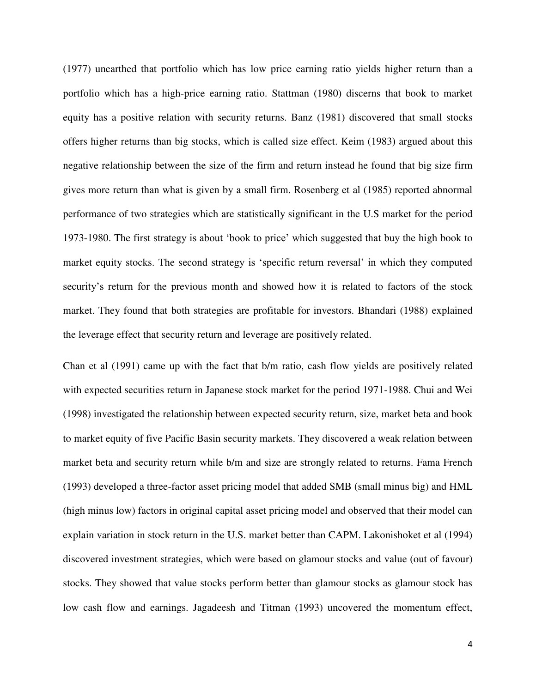(1977) unearthed that portfolio which has low price earning ratio yields higher return than a portfolio which has a high-price earning ratio. Stattman (1980) discerns that book to market equity has a positive relation with security returns. Banz (1981) discovered that small stocks offers higher returns than big stocks, which is called size effect. Keim (1983) argued about this negative relationship between the size of the firm and return instead he found that big size firm gives more return than what is given by a small firm. Rosenberg et al (1985) reported abnormal performance of two strategies which are statistically significant in the U.S market for the period 1973-1980. The first strategy is about 'book to price' which suggested that buy the high book to market equity stocks. The second strategy is 'specific return reversal' in which they computed security's return for the previous month and showed how it is related to factors of the stock market. They found that both strategies are profitable for investors. Bhandari (1988) explained the leverage effect that security return and leverage are positively related.

Chan et al (1991) came up with the fact that b/m ratio, cash flow yields are positively related with expected securities return in Japanese stock market for the period 1971-1988. Chui and Wei (1998) investigated the relationship between expected security return, size, market beta and book to market equity of five Pacific Basin security markets. They discovered a weak relation between market beta and security return while b/m and size are strongly related to returns. Fama French (1993) developed a three-factor asset pricing model that added SMB (small minus big) and HML (high minus low) factors in original capital asset pricing model and observed that their model can explain variation in stock return in the U.S. market better than CAPM. Lakonishoket et al (1994) discovered investment strategies, which were based on glamour stocks and value (out of favour) stocks. They showed that value stocks perform better than glamour stocks as glamour stock has low cash flow and earnings. Jagadeesh and Titman (1993) uncovered the momentum effect,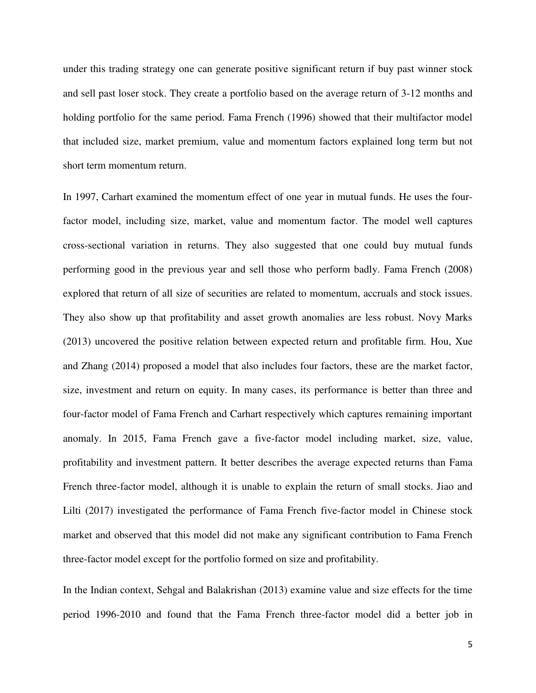under this trading strategy one can generate positive significant return if buy past winner stock and sell past loser stock. They create a portfolio based on the average return of 3-12 months and holding portfolio for the same period. Fama French (1996) showed that their multifactor model that included size, market premium, value and momentum factors explained long term but not short term momentum return.

In 1997, Carhart examined the momentum effect of one year in mutual funds. He uses the fourfactor model, including size, market, value and momentum factor. The model well captures cross-sectional variation in returns. They also suggested that one could buy mutual funds performing good in the previous year and sell those who perform badly. Fama French (2008) explored that return of all size of securities are related to momentum, accruals and stock issues. They also show up that profitability and asset growth anomalies are less robust. Novy Marks (2013) uncovered the positive relation between expected return and profitable firm. Hou, Xue and Zhang (2014) proposed a model that also includes four factors, these are the market factor, size, investment and return on equity. In many cases, its performance is better than three and four-factor model of Fama French and Carhart respectively which captures remaining important anomaly. In 2015, Fama French gave a five-factor model including market, size, value, profitability and investment pattern. It better describes the average expected returns than Fama French three-factor model, although it is unable to explain the return of small stocks. Jiao and Lilti (2017) investigated the performance of Fama French five-factor model in Chinese stock market and observed that this model did not make any significant contribution to Fama French three-factor model except for the portfolio formed on size and profitability.

In the Indian context, Sehgal and Balakrishan (2013) examine value and size effects for the time period 1996-2010 and found that the Fama French three-factor model did a better job in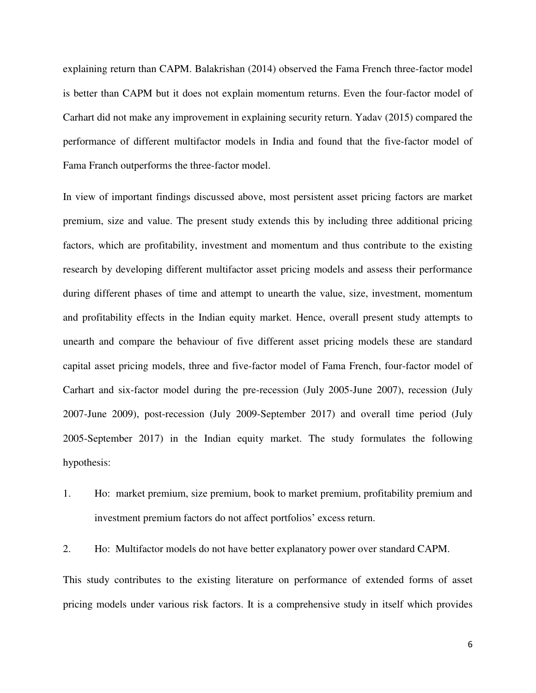explaining return than CAPM. Balakrishan (2014) observed the Fama French three-factor model is better than CAPM but it does not explain momentum returns. Even the four-factor model of Carhart did not make any improvement in explaining security return. Yadav (2015) compared the performance of different multifactor models in India and found that the five-factor model of Fama Franch outperforms the three-factor model.

In view of important findings discussed above, most persistent asset pricing factors are market premium, size and value. The present study extends this by including three additional pricing factors, which are profitability, investment and momentum and thus contribute to the existing research by developing different multifactor asset pricing models and assess their performance during different phases of time and attempt to unearth the value, size, investment, momentum and profitability effects in the Indian equity market. Hence, overall present study attempts to unearth and compare the behaviour of five different asset pricing models these are standard capital asset pricing models, three and five-factor model of Fama French, four-factor model of Carhart and six-factor model during the pre-recession (July 2005-June 2007), recession (July 2007-June 2009), post-recession (July 2009-September 2017) and overall time period (July 2005-September 2017) in the Indian equity market. The study formulates the following hypothesis:

1. Ho: market premium, size premium, book to market premium, profitability premium and investment premium factors do not affect portfolios' excess return.

2. Ho: Multifactor models do not have better explanatory power over standard CAPM.

This study contributes to the existing literature on performance of extended forms of asset pricing models under various risk factors. It is a comprehensive study in itself which provides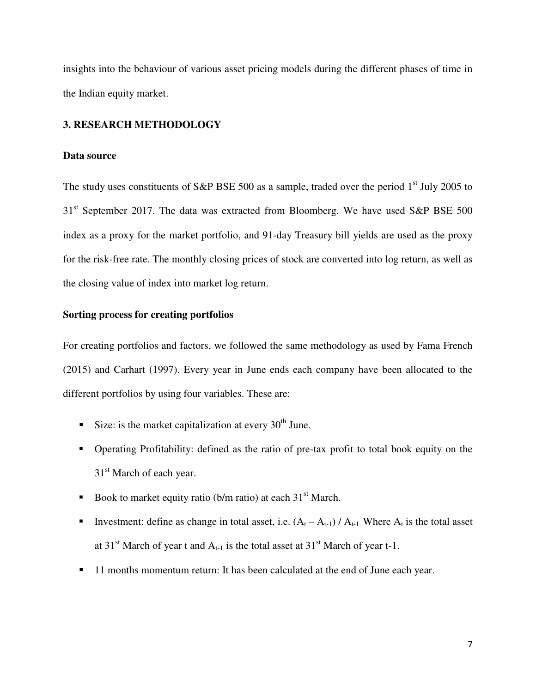insights into the behaviour of various asset pricing models during the different phases of time in the Indian equity market.

# **3. RESEARCH METHODOLOGY**

### **Data source**

The study uses constituents of S&P BSE 500 as a sample, traded over the period  $1<sup>st</sup>$  July 2005 to  $31<sup>st</sup>$  September 2017. The data was extracted from Bloomberg. We have used S&P BSE 500 index as a proxy for the market portfolio, and 91-day Treasury bill yields are used as the proxy for the risk-free rate. The monthly closing prices of stock are converted into log return, as well as the closing value of index into market log return.

# **Sorting process for creating portfolios**

For creating portfolios and factors, we followed the same methodology as used by Fama French (2015) and Carhart (1997). Every year in June ends each company have been allocated to the different portfolios by using four variables. These are:

- Size: is the market capitalization at every  $30<sup>th</sup>$  June.
- Operating Profitability: defined as the ratio of pre-tax profit to total book equity on the 31<sup>st</sup> March of each year.
- Book to market equity ratio (b/m ratio) at each  $31<sup>st</sup>$  March.
- **I**nvestment: define as change in total asset, i.e.  $(A_t A_{t-1}) / A_{t-1}$ . Where  $A_t$  is the total asset at 31<sup>st</sup> March of year t and  $A_{t-1}$  is the total asset at 31<sup>st</sup> March of year t-1.
- **11 months momentum return: It has been calculated at the end of June each year.**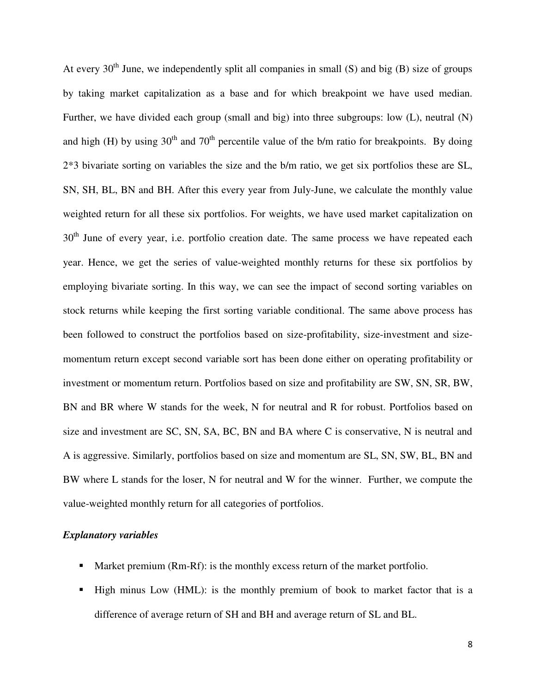At every  $30<sup>th</sup>$  June, we independently split all companies in small (S) and big (B) size of groups by taking market capitalization as a base and for which breakpoint we have used median. Further, we have divided each group (small and big) into three subgroups: low (L), neutral (N) and high (H) by using 30<sup>th</sup> and 70<sup>th</sup> percentile value of the b/m ratio for breakpoints. By doing 2\*3 bivariate sorting on variables the size and the b/m ratio, we get six portfolios these are SL, SN, SH, BL, BN and BH. After this every year from July-June, we calculate the monthly value weighted return for all these six portfolios. For weights, we have used market capitalization on  $30<sup>th</sup>$  June of every year, i.e. portfolio creation date. The same process we have repeated each year. Hence, we get the series of value-weighted monthly returns for these six portfolios by employing bivariate sorting. In this way, we can see the impact of second sorting variables on stock returns while keeping the first sorting variable conditional. The same above process has been followed to construct the portfolios based on size-profitability, size-investment and sizemomentum return except second variable sort has been done either on operating profitability or investment or momentum return. Portfolios based on size and profitability are SW, SN, SR, BW, BN and BR where W stands for the week, N for neutral and R for robust. Portfolios based on size and investment are SC, SN, SA, BC, BN and BA where C is conservative, N is neutral and A is aggressive. Similarly, portfolios based on size and momentum are SL, SN, SW, BL, BN and BW where L stands for the loser, N for neutral and W for the winner. Further, we compute the value-weighted monthly return for all categories of portfolios.

# *Explanatory variables*

- **Market premium (Rm-Rf): is the monthly excess return of the market portfolio.**
- High minus Low (HML): is the monthly premium of book to market factor that is a difference of average return of SH and BH and average return of SL and BL.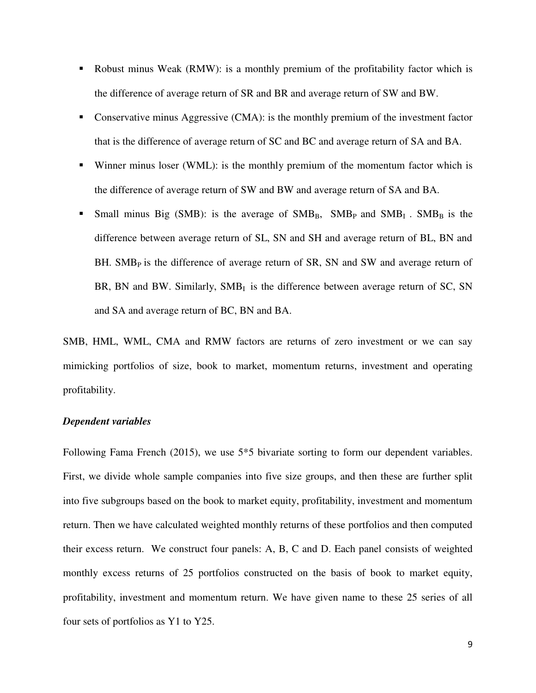- Robust minus Weak (RMW): is a monthly premium of the profitability factor which is the difference of average return of SR and BR and average return of SW and BW.
- Conservative minus Aggressive (CMA): is the monthly premium of the investment factor that is the difference of average return of SC and BC and average return of SA and BA.
- Winner minus loser (WML): is the monthly premium of the momentum factor which is the difference of average return of SW and BW and average return of SA and BA.
- Small minus Big (SMB): is the average of  $SMB_B$ ,  $SMB_P$  and  $SMB_I$ .  $SMB_B$  is the difference between average return of SL, SN and SH and average return of BL, BN and BH. SMB<sub>P</sub> is the difference of average return of SR, SN and SW and average return of BR, BN and BW. Similarly,  $SMB<sub>I</sub>$  is the difference between average return of SC, SN and SA and average return of BC, BN and BA.

SMB, HML, WML, CMA and RMW factors are returns of zero investment or we can say mimicking portfolios of size, book to market, momentum returns, investment and operating profitability.

# *Dependent variables*

Following Fama French (2015), we use 5<sup>\*</sup>5 bivariate sorting to form our dependent variables. First, we divide whole sample companies into five size groups, and then these are further split into five subgroups based on the book to market equity, profitability, investment and momentum return. Then we have calculated weighted monthly returns of these portfolios and then computed their excess return. We construct four panels: A, B, C and D. Each panel consists of weighted monthly excess returns of 25 portfolios constructed on the basis of book to market equity, profitability, investment and momentum return. We have given name to these 25 series of all four sets of portfolios as Y1 to Y25.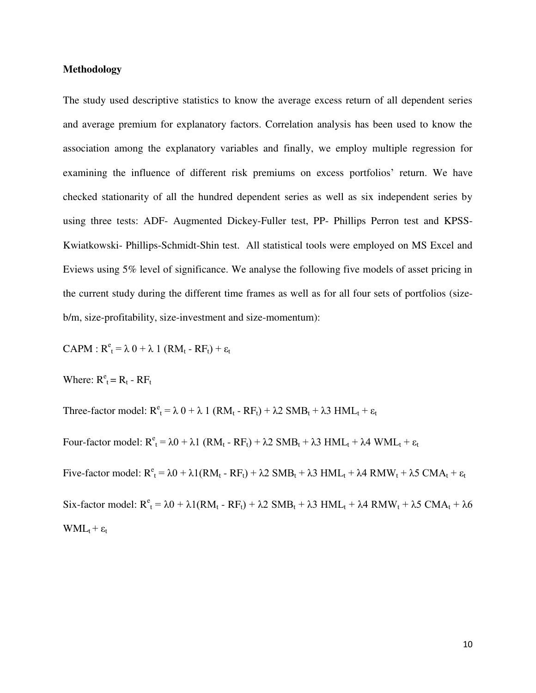### **Methodology**

The study used descriptive statistics to know the average excess return of all dependent series and average premium for explanatory factors. Correlation analysis has been used to know the association among the explanatory variables and finally, we employ multiple regression for examining the influence of different risk premiums on excess portfolios' return. We have checked stationarity of all the hundred dependent series as well as six independent series by using three tests: ADF- Augmented Dickey-Fuller test, PP- Phillips Perron test and KPSS-Kwiatkowski- Phillips-Schmidt-Shin test. All statistical tools were employed on MS Excel and Eviews using 5% level of significance. We analyse the following five models of asset pricing in the current study during the different time frames as well as for all four sets of portfolios (sizeb/m, size-profitability, size-investment and size-momentum):

 $CAPM: R<sup>e</sup><sub>t</sub> = \lambda 0 + \lambda 1 (RM<sub>t</sub> - RF<sub>t</sub>) + \varepsilon<sub>t</sub>$ 

Where:  $R_t^e = R_t - R F_t$ 

Three-factor model:  $R^e_t = \lambda 0 + \lambda 1 (RM_t - RF_t) + \lambda 2 SMB_t + \lambda 3 HML_t + \varepsilon_t$ Four-factor model:  $R^e_t = \lambda 0 + \lambda 1$  (RM<sub>t</sub> - RF<sub>t</sub>) +  $\lambda$ 2 SMB<sub>t</sub> +  $\lambda$ 3 HML<sub>t</sub> +  $\lambda$ 4 WML<sub>t</sub> +  $\epsilon_t$ Five-factor model:  $R^e_t = \lambda 0 + \lambda 1(RM_t - RF_t) + \lambda 2$   $SMB_t + \lambda 3$   $HML_t + \lambda 4$   $RMW_t + \lambda 5$   $CMA_t + \varepsilon_t$ Six-factor model:  $R^e_t = \lambda 0 + \lambda 1(RM_t - RF_t) + \lambda 2$  SMB<sub>t</sub> +  $\lambda$ 3 HML<sub>t</sub> +  $\lambda$ 4 RMW<sub>t</sub> +  $\lambda$ 5 CMA<sub>t</sub> +  $\lambda$ 6  $WML_t + \varepsilon_t$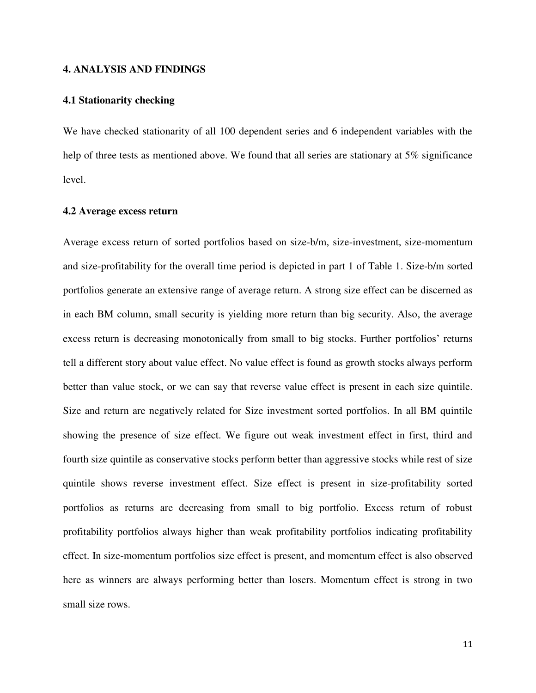#### **4. ANALYSIS AND FINDINGS**

### **4.1 Stationarity checking**

We have checked stationarity of all 100 dependent series and 6 independent variables with the help of three tests as mentioned above. We found that all series are stationary at 5% significance level.

# **4.2 Average excess return**

Average excess return of sorted portfolios based on size-b/m, size-investment, size-momentum and size-profitability for the overall time period is depicted in part 1 of Table 1. Size-b/m sorted portfolios generate an extensive range of average return. A strong size effect can be discerned as in each BM column, small security is yielding more return than big security. Also, the average excess return is decreasing monotonically from small to big stocks. Further portfolios' returns tell a different story about value effect. No value effect is found as growth stocks always perform better than value stock, or we can say that reverse value effect is present in each size quintile. Size and return are negatively related for Size investment sorted portfolios. In all BM quintile showing the presence of size effect. We figure out weak investment effect in first, third and fourth size quintile as conservative stocks perform better than aggressive stocks while rest of size quintile shows reverse investment effect. Size effect is present in size-profitability sorted portfolios as returns are decreasing from small to big portfolio. Excess return of robust profitability portfolios always higher than weak profitability portfolios indicating profitability effect. In size-momentum portfolios size effect is present, and momentum effect is also observed here as winners are always performing better than losers. Momentum effect is strong in two small size rows.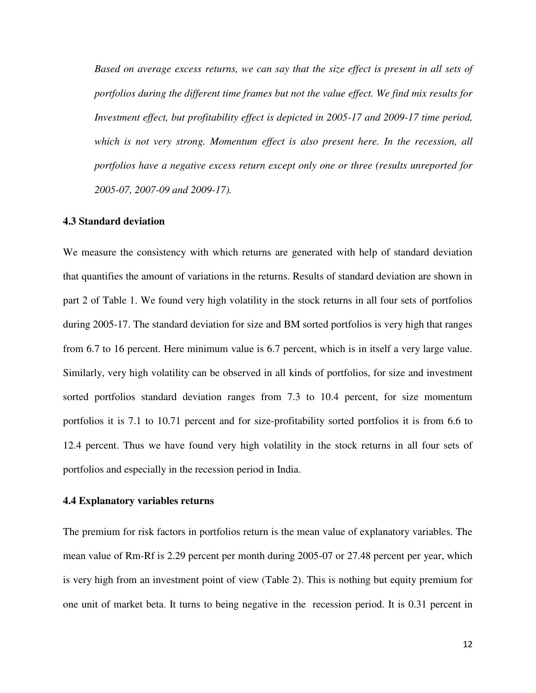*Based on average excess returns, we can say that the size effect is present in all sets of portfolios during the different time frames but not the value effect. We find mix results for Investment effect, but profitability effect is depicted in 2005-17 and 2009-17 time period, which is not very strong. Momentum effect is also present here. In the recession, all portfolios have a negative excess return except only one or three (results unreported for 2005-07, 2007-09 and 2009-17).* 

#### **4.3 Standard deviation**

We measure the consistency with which returns are generated with help of standard deviation that quantifies the amount of variations in the returns. Results of standard deviation are shown in part 2 of Table 1. We found very high volatility in the stock returns in all four sets of portfolios during 2005-17. The standard deviation for size and BM sorted portfolios is very high that ranges from 6.7 to 16 percent. Here minimum value is 6.7 percent, which is in itself a very large value. Similarly, very high volatility can be observed in all kinds of portfolios, for size and investment sorted portfolios standard deviation ranges from 7.3 to 10.4 percent, for size momentum portfolios it is 7.1 to 10.71 percent and for size-profitability sorted portfolios it is from 6.6 to 12.4 percent. Thus we have found very high volatility in the stock returns in all four sets of portfolios and especially in the recession period in India.

### **4.4 Explanatory variables returns**

The premium for risk factors in portfolios return is the mean value of explanatory variables. The mean value of Rm-Rf is 2.29 percent per month during 2005-07 or 27.48 percent per year, which is very high from an investment point of view (Table 2). This is nothing but equity premium for one unit of market beta. It turns to being negative in the recession period. It is 0.31 percent in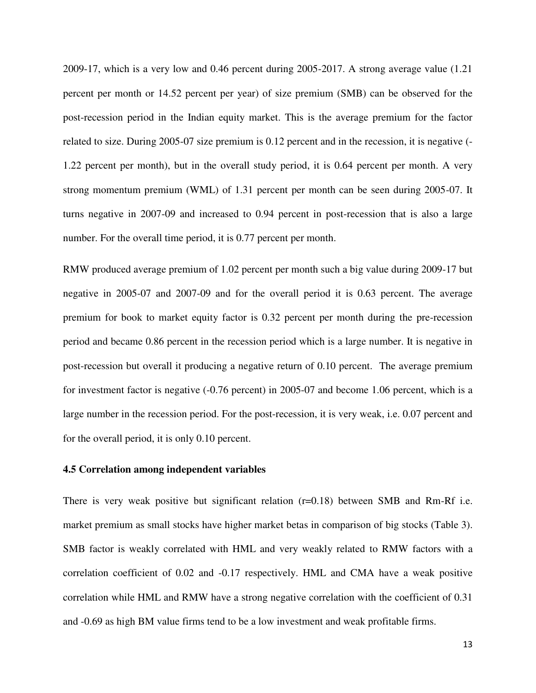2009-17, which is a very low and 0.46 percent during 2005-2017. A strong average value (1.21 percent per month or 14.52 percent per year) of size premium (SMB) can be observed for the post-recession period in the Indian equity market. This is the average premium for the factor related to size. During 2005-07 size premium is 0.12 percent and in the recession, it is negative (- 1.22 percent per month), but in the overall study period, it is 0.64 percent per month. A very strong momentum premium (WML) of 1.31 percent per month can be seen during 2005-07. It turns negative in 2007-09 and increased to 0.94 percent in post-recession that is also a large number. For the overall time period, it is 0.77 percent per month.

RMW produced average premium of 1.02 percent per month such a big value during 2009-17 but negative in 2005-07 and 2007-09 and for the overall period it is 0.63 percent. The average premium for book to market equity factor is 0.32 percent per month during the pre-recession period and became 0.86 percent in the recession period which is a large number. It is negative in post-recession but overall it producing a negative return of 0.10 percent. The average premium for investment factor is negative (-0.76 percent) in 2005-07 and become 1.06 percent, which is a large number in the recession period. For the post-recession, it is very weak, i.e. 0.07 percent and for the overall period, it is only 0.10 percent.

### **4.5 Correlation among independent variables**

There is very weak positive but significant relation  $(r=0.18)$  between SMB and Rm-Rf i.e. market premium as small stocks have higher market betas in comparison of big stocks (Table 3). SMB factor is weakly correlated with HML and very weakly related to RMW factors with a correlation coefficient of 0.02 and -0.17 respectively. HML and CMA have a weak positive correlation while HML and RMW have a strong negative correlation with the coefficient of 0.31 and -0.69 as high BM value firms tend to be a low investment and weak profitable firms.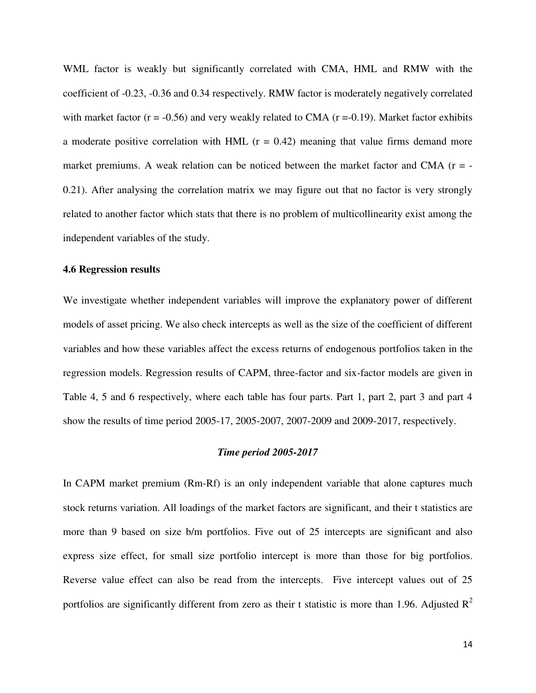WML factor is weakly but significantly correlated with CMA, HML and RMW with the coefficient of -0.23, -0.36 and 0.34 respectively. RMW factor is moderately negatively correlated with market factor  $(r = -0.56)$  and very weakly related to CMA  $(r = -0.19)$ . Market factor exhibits a moderate positive correlation with HML  $(r = 0.42)$  meaning that value firms demand more market premiums. A weak relation can be noticed between the market factor and CMA  $(r = -$ 0.21). After analysing the correlation matrix we may figure out that no factor is very strongly related to another factor which stats that there is no problem of multicollinearity exist among the independent variables of the study.

# **4.6 Regression results**

We investigate whether independent variables will improve the explanatory power of different models of asset pricing. We also check intercepts as well as the size of the coefficient of different variables and how these variables affect the excess returns of endogenous portfolios taken in the regression models. Regression results of CAPM, three-factor and six-factor models are given in Table 4, 5 and 6 respectively, where each table has four parts. Part 1, part 2, part 3 and part 4 show the results of time period 2005-17, 2005-2007, 2007-2009 and 2009-2017, respectively.

#### *Time period 2005-2017*

In CAPM market premium (Rm-Rf) is an only independent variable that alone captures much stock returns variation. All loadings of the market factors are significant, and their t statistics are more than 9 based on size b/m portfolios. Five out of 25 intercepts are significant and also express size effect, for small size portfolio intercept is more than those for big portfolios. Reverse value effect can also be read from the intercepts. Five intercept values out of 25 portfolios are significantly different from zero as their t statistic is more than 1.96. Adjusted  $R^2$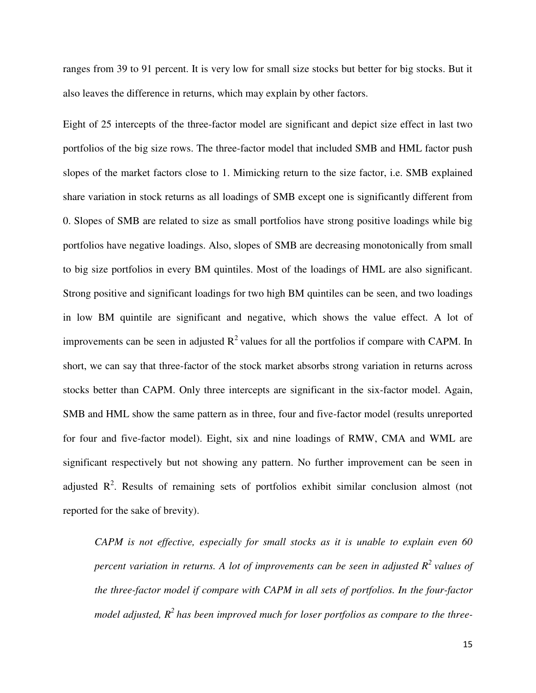ranges from 39 to 91 percent. It is very low for small size stocks but better for big stocks. But it also leaves the difference in returns, which may explain by other factors.

Eight of 25 intercepts of the three-factor model are significant and depict size effect in last two portfolios of the big size rows. The three-factor model that included SMB and HML factor push slopes of the market factors close to 1. Mimicking return to the size factor, i.e. SMB explained share variation in stock returns as all loadings of SMB except one is significantly different from 0. Slopes of SMB are related to size as small portfolios have strong positive loadings while big portfolios have negative loadings. Also, slopes of SMB are decreasing monotonically from small to big size portfolios in every BM quintiles. Most of the loadings of HML are also significant. Strong positive and significant loadings for two high BM quintiles can be seen, and two loadings in low BM quintile are significant and negative, which shows the value effect. A lot of improvements can be seen in adjusted  $R^2$  values for all the portfolios if compare with CAPM. In short, we can say that three-factor of the stock market absorbs strong variation in returns across stocks better than CAPM. Only three intercepts are significant in the six-factor model. Again, SMB and HML show the same pattern as in three, four and five-factor model (results unreported for four and five-factor model). Eight, six and nine loadings of RMW, CMA and WML are significant respectively but not showing any pattern. No further improvement can be seen in adjusted  $\mathbb{R}^2$ . Results of remaining sets of portfolios exhibit similar conclusion almost (not reported for the sake of brevity).

*CAPM is not effective, especially for small stocks as it is unable to explain even 60 percent variation in returns. A lot of improvements can be seen in adjusted R<sup>2</sup>values of the three-factor model if compare with CAPM in all sets of portfolios. In the four-factor model adjusted, R<sup>2</sup>has been improved much for loser portfolios as compare to the three-*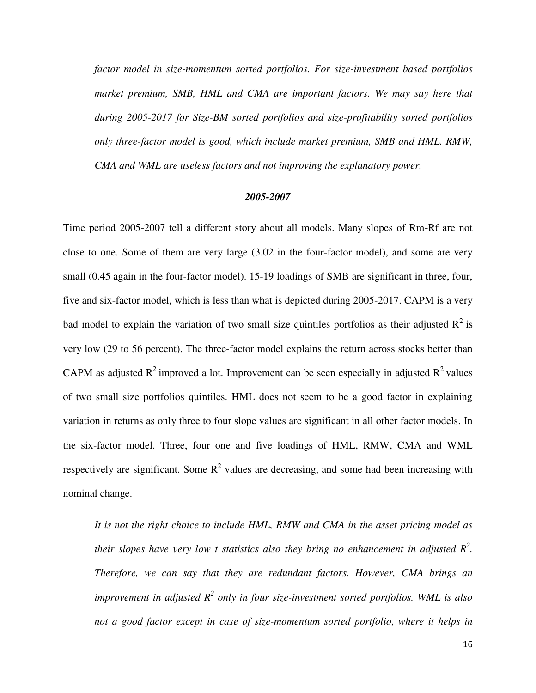*factor model in size-momentum sorted portfolios. For size-investment based portfolios market premium, SMB, HML and CMA are important factors. We may say here that during 2005-2017 for Size-BM sorted portfolios and size-profitability sorted portfolios only three-factor model is good, which include market premium, SMB and HML. RMW, CMA and WML are useless factors and not improving the explanatory power.* 

#### *2005-2007*

Time period 2005-2007 tell a different story about all models. Many slopes of Rm-Rf are not close to one. Some of them are very large (3.02 in the four-factor model), and some are very small (0.45 again in the four-factor model). 15-19 loadings of SMB are significant in three, four, five and six-factor model, which is less than what is depicted during 2005-2017. CAPM is a very bad model to explain the variation of two small size quintiles portfolios as their adjusted  $R^2$  is very low (29 to 56 percent). The three-factor model explains the return across stocks better than CAPM as adjusted  $R^2$  improved a lot. Improvement can be seen especially in adjusted  $R^2$  values of two small size portfolios quintiles. HML does not seem to be a good factor in explaining variation in returns as only three to four slope values are significant in all other factor models. In the six-factor model. Three, four one and five loadings of HML, RMW, CMA and WML respectively are significant. Some  $R^2$  values are decreasing, and some had been increasing with nominal change.

*It is not the right choice to include HML, RMW and CMA in the asset pricing model as their slopes have very low t statistics also they bring no enhancement in adjusted R<sup>2</sup> . Therefore, we can say that they are redundant factors. However, CMA brings an*  improvement in adjusted  $R^2$  only in four size-investment sorted portfolios. WML is also *not a good factor except in case of size-momentum sorted portfolio, where it helps in*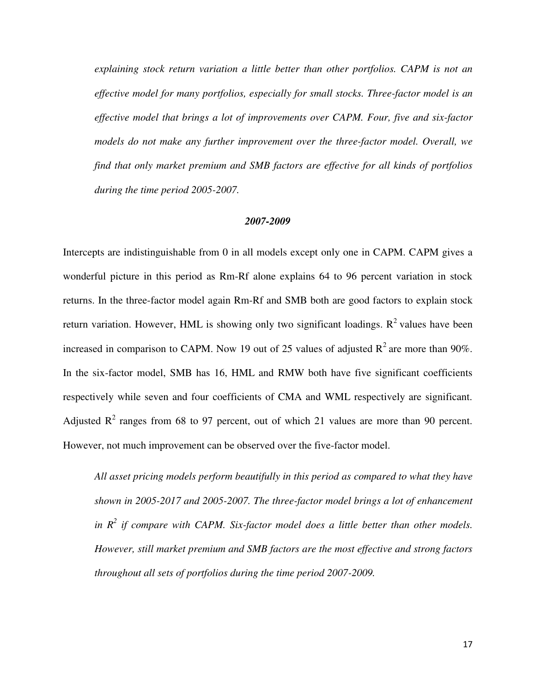*explaining stock return variation a little better than other portfolios. CAPM is not an effective model for many portfolios, especially for small stocks. Three-factor model is an effective model that brings a lot of improvements over CAPM. Four, five and six-factor models do not make any further improvement over the three-factor model. Overall, we find that only market premium and SMB factors are effective for all kinds of portfolios during the time period 2005-2007.* 

### *2007-2009*

Intercepts are indistinguishable from 0 in all models except only one in CAPM. CAPM gives a wonderful picture in this period as Rm-Rf alone explains 64 to 96 percent variation in stock returns. In the three-factor model again Rm-Rf and SMB both are good factors to explain stock return variation. However, HML is showing only two significant loadings.  $\mathbb{R}^2$  values have been increased in comparison to CAPM. Now 19 out of 25 values of adjusted  $R^2$  are more than 90%. In the six-factor model, SMB has 16, HML and RMW both have five significant coefficients respectively while seven and four coefficients of CMA and WML respectively are significant. Adjusted  $R^2$  ranges from 68 to 97 percent, out of which 21 values are more than 90 percent. However, not much improvement can be observed over the five-factor model.

*All asset pricing models perform beautifully in this period as compared to what they have shown in 2005-2017 and 2005-2007. The three-factor model brings a lot of enhancement in R<sup>2</sup> if compare with CAPM. Six-factor model does a little better than other models. However, still market premium and SMB factors are the most effective and strong factors throughout all sets of portfolios during the time period 2007-2009.*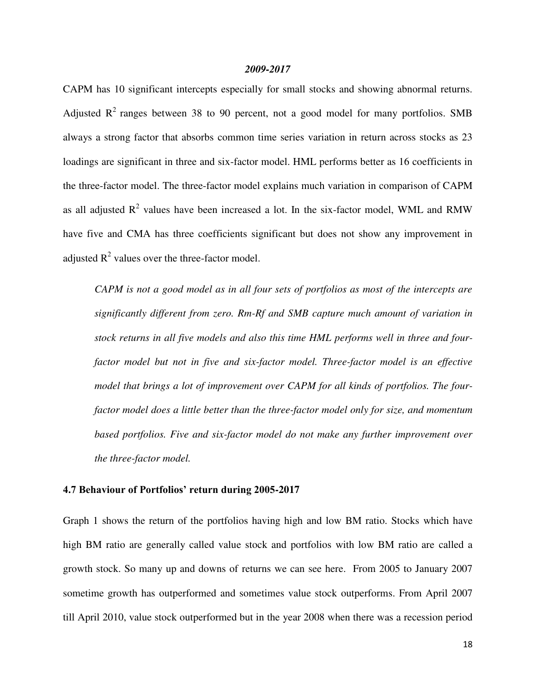#### *2009-2017*

CAPM has 10 significant intercepts especially for small stocks and showing abnormal returns. Adjusted  $R^2$  ranges between 38 to 90 percent, not a good model for many portfolios. SMB always a strong factor that absorbs common time series variation in return across stocks as 23 loadings are significant in three and six-factor model. HML performs better as 16 coefficients in the three-factor model. The three-factor model explains much variation in comparison of CAPM as all adjusted  $R^2$  values have been increased a lot. In the six-factor model, WML and RMW have five and CMA has three coefficients significant but does not show any improvement in adjusted  $R^2$  values over the three-factor model.

*CAPM is not a good model as in all four sets of portfolios as most of the intercepts are significantly different from zero. Rm-Rf and SMB capture much amount of variation in stock returns in all five models and also this time HML performs well in three and fourfactor model but not in five and six-factor model. Three-factor model is an effective model that brings a lot of improvement over CAPM for all kinds of portfolios. The fourfactor model does a little better than the three-factor model only for size, and momentum based portfolios. Five and six-factor model do not make any further improvement over the three-factor model.* 

#### **4.7 Behaviour of Portfolios' return during 2005-2017**

Graph 1 shows the return of the portfolios having high and low BM ratio. Stocks which have high BM ratio are generally called value stock and portfolios with low BM ratio are called a growth stock. So many up and downs of returns we can see here. From 2005 to January 2007 sometime growth has outperformed and sometimes value stock outperforms. From April 2007 till April 2010, value stock outperformed but in the year 2008 when there was a recession period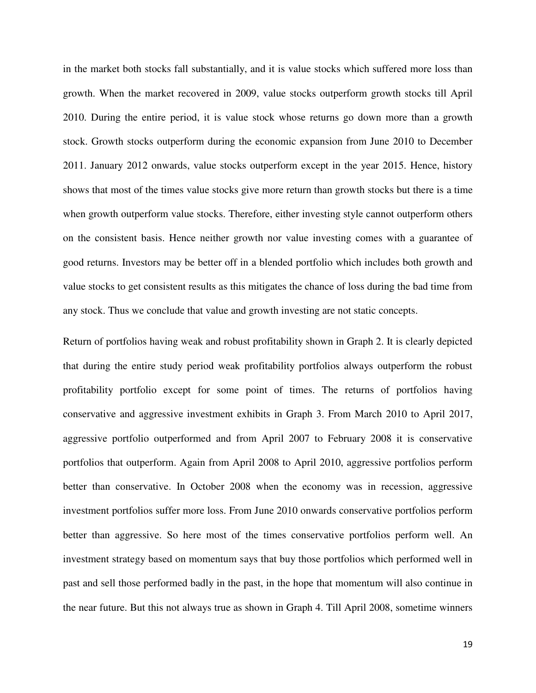in the market both stocks fall substantially, and it is value stocks which suffered more loss than growth. When the market recovered in 2009, value stocks outperform growth stocks till April 2010. During the entire period, it is value stock whose returns go down more than a growth stock. Growth stocks outperform during the economic expansion from June 2010 to December 2011. January 2012 onwards, value stocks outperform except in the year 2015. Hence, history shows that most of the times value stocks give more return than growth stocks but there is a time when growth outperform value stocks. Therefore, either investing style cannot outperform others on the consistent basis. Hence neither growth nor value investing comes with a guarantee of good returns. Investors may be better off in a blended portfolio which includes both growth and value stocks to get consistent results as this mitigates the chance of loss during the bad time from any stock. Thus we conclude that value and growth investing are not static concepts.

Return of portfolios having weak and robust profitability shown in Graph 2. It is clearly depicted that during the entire study period weak profitability portfolios always outperform the robust profitability portfolio except for some point of times. The returns of portfolios having conservative and aggressive investment exhibits in Graph 3. From March 2010 to April 2017, aggressive portfolio outperformed and from April 2007 to February 2008 it is conservative portfolios that outperform. Again from April 2008 to April 2010, aggressive portfolios perform better than conservative. In October 2008 when the economy was in recession, aggressive investment portfolios suffer more loss. From June 2010 onwards conservative portfolios perform better than aggressive. So here most of the times conservative portfolios perform well. An investment strategy based on momentum says that buy those portfolios which performed well in past and sell those performed badly in the past, in the hope that momentum will also continue in the near future. But this not always true as shown in Graph 4. Till April 2008, sometime winners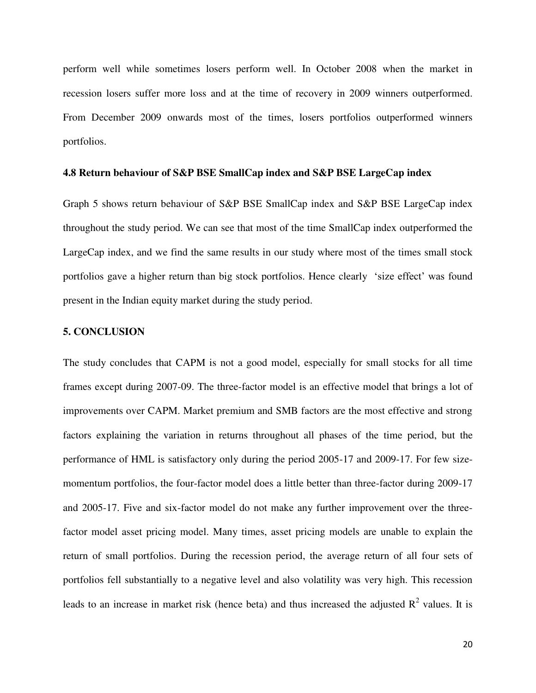perform well while sometimes losers perform well. In October 2008 when the market in recession losers suffer more loss and at the time of recovery in 2009 winners outperformed. From December 2009 onwards most of the times, losers portfolios outperformed winners portfolios.

#### **4.8 Return behaviour of S&P BSE SmallCap index and S&P BSE LargeCap index**

Graph 5 shows return behaviour of S&P BSE SmallCap index and S&P BSE LargeCap index throughout the study period. We can see that most of the time SmallCap index outperformed the LargeCap index, and we find the same results in our study where most of the times small stock portfolios gave a higher return than big stock portfolios. Hence clearly 'size effect' was found present in the Indian equity market during the study period.

# **5. CONCLUSION**

The study concludes that CAPM is not a good model, especially for small stocks for all time frames except during 2007-09. The three-factor model is an effective model that brings a lot of improvements over CAPM. Market premium and SMB factors are the most effective and strong factors explaining the variation in returns throughout all phases of the time period, but the performance of HML is satisfactory only during the period 2005-17 and 2009-17. For few sizemomentum portfolios, the four-factor model does a little better than three-factor during 2009-17 and 2005-17. Five and six-factor model do not make any further improvement over the threefactor model asset pricing model. Many times, asset pricing models are unable to explain the return of small portfolios. During the recession period, the average return of all four sets of portfolios fell substantially to a negative level and also volatility was very high. This recession leads to an increase in market risk (hence beta) and thus increased the adjusted  $R^2$  values. It is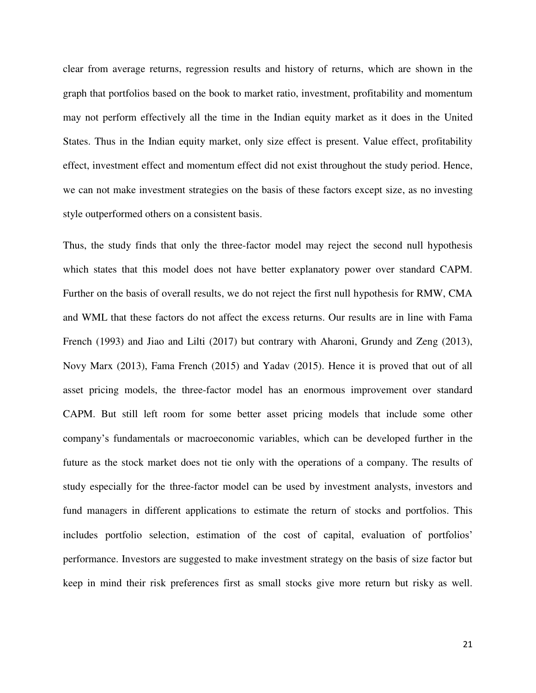clear from average returns, regression results and history of returns, which are shown in the graph that portfolios based on the book to market ratio, investment, profitability and momentum may not perform effectively all the time in the Indian equity market as it does in the United States. Thus in the Indian equity market, only size effect is present. Value effect, profitability effect, investment effect and momentum effect did not exist throughout the study period. Hence, we can not make investment strategies on the basis of these factors except size, as no investing style outperformed others on a consistent basis.

Thus, the study finds that only the three-factor model may reject the second null hypothesis which states that this model does not have better explanatory power over standard CAPM. Further on the basis of overall results, we do not reject the first null hypothesis for RMW, CMA and WML that these factors do not affect the excess returns. Our results are in line with Fama French (1993) and Jiao and Lilti (2017) but contrary with Aharoni, Grundy and Zeng (2013), Novy Marx (2013), Fama French (2015) and Yadav (2015). Hence it is proved that out of all asset pricing models, the three-factor model has an enormous improvement over standard CAPM. But still left room for some better asset pricing models that include some other company's fundamentals or macroeconomic variables, which can be developed further in the future as the stock market does not tie only with the operations of a company. The results of study especially for the three-factor model can be used by investment analysts, investors and fund managers in different applications to estimate the return of stocks and portfolios. This includes portfolio selection, estimation of the cost of capital, evaluation of portfolios' performance. Investors are suggested to make investment strategy on the basis of size factor but keep in mind their risk preferences first as small stocks give more return but risky as well.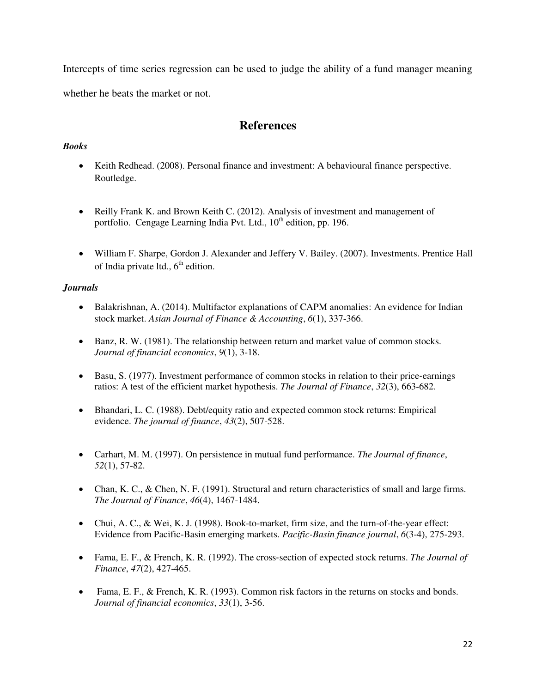Intercepts of time series regression can be used to judge the ability of a fund manager meaning whether he beats the market or not.

# **References**

# *Books*

- Keith Redhead. (2008). Personal finance and investment: A behavioural finance perspective. Routledge.
- Reilly Frank K. and Brown Keith C. (2012). Analysis of investment and management of portfolio. Cengage Learning India Pvt. Ltd.,  $10<sup>th</sup>$  edition, pp. 196.
- William F. Sharpe, Gordon J. Alexander and Jeffery V. Bailey. (2007). Investments. Prentice Hall of India private ltd.,  $6<sup>th</sup>$  edition.

# *Journals*

- Balakrishnan, A. (2014). Multifactor explanations of CAPM anomalies: An evidence for Indian stock market. *Asian Journal of Finance & Accounting*, *6*(1), 337-366.
- Banz, R. W. (1981). The relationship between return and market value of common stocks. *Journal of financial economics*, *9*(1), 3-18.
- Basu, S. (1977). Investment performance of common stocks in relation to their price-earnings ratios: A test of the efficient market hypothesis. *The Journal of Finance*, *32*(3), 663-682.
- Bhandari, L. C. (1988). Debt/equity ratio and expected common stock returns: Empirical evidence. *The journal of finance*, *43*(2), 507-528.
- Carhart, M. M. (1997). On persistence in mutual fund performance. *The Journal of finance*, *52*(1), 57-82.
- Chan, K. C., & Chen, N. F. (1991). Structural and return characteristics of small and large firms. *The Journal of Finance*, *46*(4), 1467-1484.
- Chui, A. C., & Wei, K. J. (1998). Book-to-market, firm size, and the turn-of-the-year effect: Evidence from Pacific-Basin emerging markets. *Pacific-Basin finance journal*, *6*(3-4), 275-293.
- Fama, E. F., & French, K. R. (1992). The cross‐section of expected stock returns. *The Journal of Finance*, *47*(2), 427-465.
- Fama, E. F., & French, K. R. (1993). Common risk factors in the returns on stocks and bonds. *Journal of financial economics*, *33*(1), 3-56.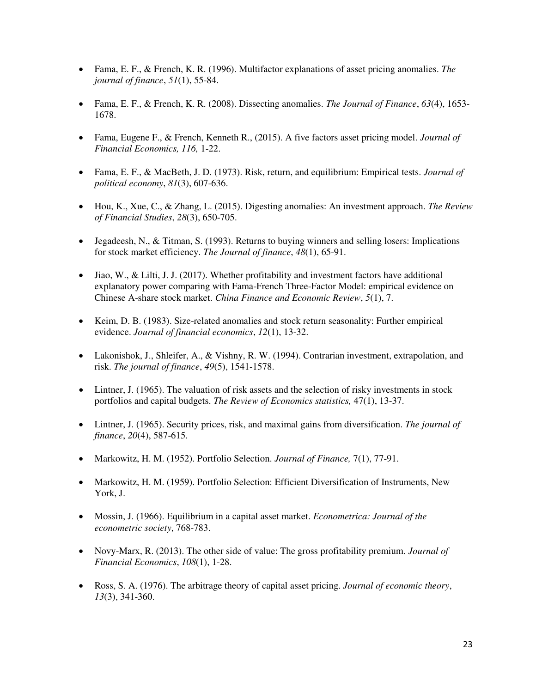- Fama, E. F., & French, K. R. (1996). Multifactor explanations of asset pricing anomalies. *The journal of finance*, *51*(1), 55-84.
- Fama, E. F., & French, K. R. (2008). Dissecting anomalies. *The Journal of Finance*, *63*(4), 1653- 1678.
- Fama, Eugene F., & French, Kenneth R., (2015). A five factors asset pricing model. *Journal of Financial Economics, 116,* 1-22.
- Fama, E. F., & MacBeth, J. D. (1973). Risk, return, and equilibrium: Empirical tests. *Journal of political economy*, *81*(3), 607-636.
- Hou, K., Xue, C., & Zhang, L. (2015). Digesting anomalies: An investment approach. *The Review of Financial Studies*, *28*(3), 650-705.
- Jegadeesh, N., & Titman, S. (1993). Returns to buying winners and selling losers: Implications for stock market efficiency. *The Journal of finance*, *48*(1), 65-91.
- $\bullet$  Jiao, W., & Lilti, J. J. (2017). Whether profitability and investment factors have additional explanatory power comparing with Fama-French Three-Factor Model: empirical evidence on Chinese A-share stock market. *China Finance and Economic Review*, *5*(1), 7.
- Keim, D. B. (1983). Size-related anomalies and stock return seasonality: Further empirical evidence. *Journal of financial economics*, *12*(1), 13-32.
- Lakonishok, J., Shleifer, A., & Vishny, R. W. (1994). Contrarian investment, extrapolation, and risk. *The journal of finance*, *49*(5), 1541-1578.
- Lintner, J. (1965). The valuation of risk assets and the selection of risky investments in stock portfolios and capital budgets. *The Review of Economics statistics,* 47(1), 13-37.
- Lintner, J. (1965). Security prices, risk, and maximal gains from diversification. *The journal of finance*, *20*(4), 587-615.
- Markowitz, H. M. (1952). Portfolio Selection. *Journal of Finance,* 7(1), 77-91.
- Markowitz, H. M. (1959). Portfolio Selection: Efficient Diversification of Instruments, New York, J.
- Mossin, J. (1966). Equilibrium in a capital asset market. *Econometrica: Journal of the econometric society*, 768-783.
- Novy-Marx, R. (2013). The other side of value: The gross profitability premium. *Journal of Financial Economics*, *108*(1), 1-28.
- Ross, S. A. (1976). The arbitrage theory of capital asset pricing. *Journal of economic theory*, *13*(3), 341-360.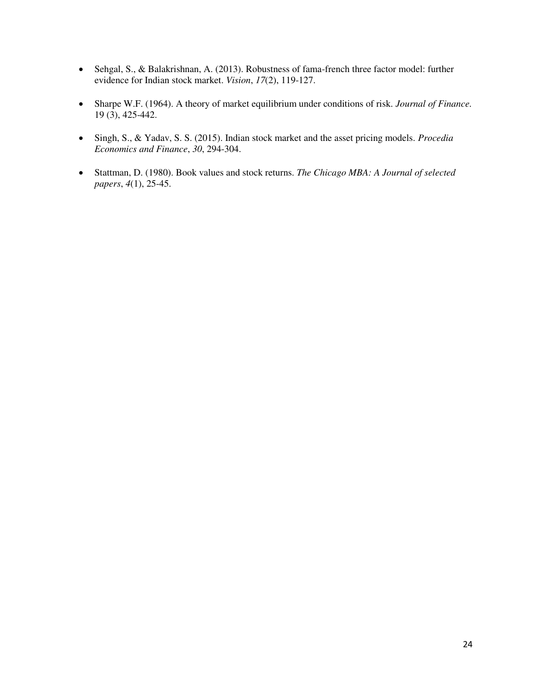- Sehgal, S., & Balakrishnan, A. (2013). Robustness of fama-french three factor model: further evidence for Indian stock market. *Vision*, *17*(2), 119-127.
- Sharpe W.F. (1964). A theory of market equilibrium under conditions of risk. *Journal of Finance.* 19 (3), 425-442.
- Singh, S., & Yadav, S. S. (2015). Indian stock market and the asset pricing models. *Procedia Economics and Finance*, *30*, 294-304.
- Stattman, D. (1980). Book values and stock returns. *The Chicago MBA: A Journal of selected papers*, *4*(1), 25-45.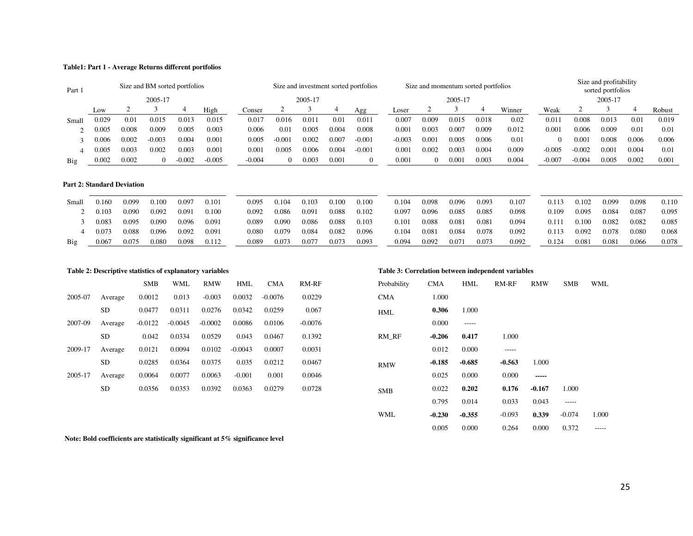#### **Table1: Part 1 - Average Returns different portfolios**

| Part 1 |       |       | Size and BM sorted portfolios |          |          |          |          |         |       | Size and investment sorted portfolios |          |       | Size and momentum sorted portfolios |       |        |          |          | Size and profitability<br>sorted portfolios |       |        |
|--------|-------|-------|-------------------------------|----------|----------|----------|----------|---------|-------|---------------------------------------|----------|-------|-------------------------------------|-------|--------|----------|----------|---------------------------------------------|-------|--------|
|        |       |       | 2005-17                       |          |          |          |          | 2005-17 |       |                                       |          |       | 2005-17                             |       |        |          |          | 2005-17                                     |       |        |
|        | Low   |       |                               |          | High     | Conser   |          |         |       | Agg                                   | $L$ oser |       |                                     |       | Winner | Weak     |          |                                             |       | Robust |
| Small  | 0.029 | 0.01  | 0.015                         | 0.013    | 0.015    | 0.017    | 0.016    | 0.011   | 0.01  | 0.011                                 | 0.007    | 0.009 | 0.015                               | 0.018 | 0.02   | 0.011    | 0.008    | 0.013                                       | 0.01  | 0.019  |
|        | 0.005 | 0.008 | 0.009                         | 0.005    | 0.003    | 0.006    | 0.01     | 0.005   | 0.004 | 0.008                                 | 0.001    | 0.003 | 0.007                               | 0.009 | 0.012  | 0.001    | 0.006    | 0.009                                       | 0.01  | 0.01   |
|        | 0.006 | 0.002 | $-0.003$                      | 0.004    | 0.001    | 0.005    | $-0.001$ | 0.002   | 0.007 | $-0.001$                              | $-0.003$ | 0.001 | 0.005                               | 0.006 | 0.01   |          | 0.001    | 0.008                                       | 0.006 | 0.006  |
|        | 0.005 | 0.003 | 0.002                         | 0.003    | 0.001    | 0.001    | 0.005    | 0.006   | 0.004 | $-0.001$                              | 0.001    | 0.002 | 0.003                               | 0.004 | 0.009  | $-0.005$ | $-0.002$ | 0.001                                       | 0.004 | 0.01   |
| Big    | 0.002 | 0.002 | $\Omega$                      | $-0.002$ | $-0.005$ | $-0.004$ |          | 0.003   | 0.001 | $\theta$                              | 0.001    |       | 0.001                               | 0.003 | 0.004  | $-0.007$ | $-0.004$ | 0.005                                       | 0.002 | 0.001  |

#### **Part 2: Standard Deviation**

| Small | 0.160 | 0.099 | 0.100 | 0.097 | 0.101 | 0.095 | 0.104 | 0.103 | 0.100 | 0.100 | 0.104 | 0.098 | 0.096 | 0.093 | 0.107 | 0.113 | 0.102 | 0.099 | 0.098 | 0.110 |
|-------|-------|-------|-------|-------|-------|-------|-------|-------|-------|-------|-------|-------|-------|-------|-------|-------|-------|-------|-------|-------|
|       | 0.103 | 0.090 | 0.092 | 0.091 | 0.100 | 0.092 | 0.086 | 0.091 | 0.088 | 0.102 | 0.097 | 0.096 | 0.085 | 0.085 | 0.098 | 0.109 | 0.095 | 0.084 | 0.087 | 0.095 |
|       | 0.083 | 0.095 | 0.090 | 0.096 | 0.091 | 0.089 | 0.090 | 0.086 | 0.088 | 0.103 | 0.101 | 0.088 | 0.081 | 0.081 | 0.094 | 0.111 | 0.100 | 0.082 | 0.082 | 0.085 |
|       | 0.073 | 0.088 | 0.096 | 0.092 | 0.091 | 0.080 | 0.079 | 0.084 | 0.082 | 0.096 | 0.104 | 0.081 | 0.084 | 0.078 | 0.092 | 0.113 | 0.092 | 0.078 | 0.080 | 0.068 |
| Big   | 0.067 | 0.075 | 0.080 | 0.098 | 0.112 | 0.089 | 0.073 | 0.077 | 0.073 | 0.093 | 0.094 | 0.092 | 0.071 | 0.073 | 0.092 | 0.124 | 0.081 | 0.081 | 0.066 | 0.078 |

|         | Table 2: Descriptive statistics of explanatory variables |            |           |            |            |            |           |             | Table 3: Correlation between independent variables |          |             |            |            |
|---------|----------------------------------------------------------|------------|-----------|------------|------------|------------|-----------|-------------|----------------------------------------------------|----------|-------------|------------|------------|
|         |                                                          | <b>SMB</b> | WML       | <b>RMW</b> | <b>HML</b> | <b>CMA</b> | RM-RF     | Probability | <b>CMA</b>                                         | HML      | RM-RF       | <b>RMW</b> | <b>SMB</b> |
| 2005-07 | Average                                                  | 0.0012     | 0.013     | $-0.003$   | 0.0032     | $-0.0076$  | 0.0229    | <b>CMA</b>  | 1.000                                              |          |             |            |            |
|         | <b>SD</b>                                                | 0.0477     | 0.0311    | 0.0276     | 0.0342     | 0.0259     | 0.067     | <b>HML</b>  | 0.306                                              | 1.000    |             |            |            |
| 2007-09 | Average                                                  | $-0.0122$  | $-0.0045$ | $-0.0002$  | 0.0086     | 0.0106     | $-0.0076$ |             | 0.000                                              | -----    |             |            |            |
|         | <b>SD</b>                                                | 0.042      | 0.0334    | 0.0529     | 0.043      | 0.0467     | 0.1392    | RM RF       | $-0.206$                                           | 0.417    | 1.000       |            |            |
| 2009-17 | Average                                                  | 0.0121     | 0.0094    | 0.0102     | $-0.0043$  | 0.0007     | 0.0031    |             | 0.012                                              | 0.000    | $- - - - -$ |            |            |
|         | <b>SD</b>                                                | 0.0285     | 0.0364    | 0.0375     | 0.035      | 0.0212     | 0.0467    | <b>RMW</b>  | $-0.185$                                           | $-0.685$ | $-0.563$    | 1.000      |            |
| 2005-17 | Average                                                  | 0.0064     | 0.0077    | 0.0063     | $-0.001$   | 0.001      | 0.0046    |             | 0.025                                              | 0.000    | 0.000       | -----      |            |
|         | <b>SD</b>                                                | 0.0356     | 0.0353    | 0.0392     | 0.0363     | 0.0279     | 0.0728    | <b>SMB</b>  | 0.022                                              | 0.202    | 0.176       | $-0.167$   | 1.000      |

| <b>SMB</b> | WML       | <b>RMW</b> | HML       | <b>CMA</b> | RM-RF     | Probability | <b>CMA</b> | HML         | RM-RF    | <b>RMW</b> | <b>SMB</b> | WML   |
|------------|-----------|------------|-----------|------------|-----------|-------------|------------|-------------|----------|------------|------------|-------|
| .0012      | 0.013     | $-0.003$   | 0.0032    | $-0.0076$  | 0.0229    | <b>CMA</b>  | 1.000      |             |          |            |            |       |
| .0477      | 0.0311    | 0.0276     | 0.0342    | 0.0259     | 0.067     | <b>HML</b>  | 0.306      | 1.000       |          |            |            |       |
| 0122       | $-0.0045$ | $-0.0002$  | 0.0086    | 0.0106     | $-0.0076$ |             | 0.000      | $- - - - -$ |          |            |            |       |
| 0.042      | 0.0334    | 0.0529     | 0.043     | 0.0467     | 0.1392    | RM RF       | $-0.206$   | 0.417       | 1.000    |            |            |       |
| .0121      | 0.0094    | 0.0102     | $-0.0043$ | 0.0007     | 0.0031    |             | 0.012      | 0.000       | -----    |            |            |       |
| .0285      | 0.0364    | 0.0375     | 0.035     | 0.0212     | 0.0467    | <b>RMW</b>  | $-0.185$   | $-0.685$    | $-0.563$ | 1.000      |            |       |
| .0064      | 0.0077    | 0.0063     | $-0.001$  | 0.001      | 0.0046    |             | 0.025      | 0.000       | 0.000    | -----      |            |       |
| .0356      | 0.0353    | 0.0392     | 0.0363    | 0.0279     | 0.0728    | <b>SMB</b>  | 0.022      | 0.202       | 0.176    | $-0.167$   | 1.000      |       |
|            |           |            |           |            |           |             | 0.795      | 0.014       | 0.033    | 0.043      | -----      |       |
|            |           |            |           |            |           | WML         | $-0.230$   | $-0.355$    | $-0.093$ | 0.339      | $-0.074$   | 1.000 |
|            |           |            |           |            |           |             | 0.005      | 0.000       | 0.264    | 0.000      | 0.372      | ----- |

 **Note: Bold coefficients are statistically significant at 5% significance level**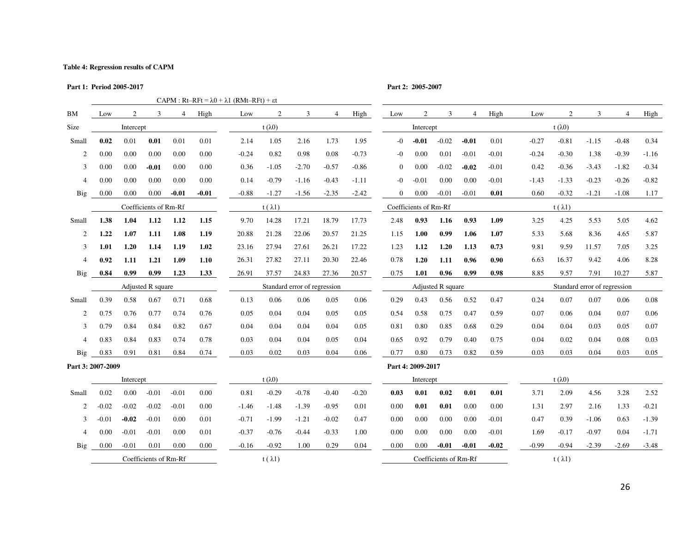#### **Table 4: Regression results of CAPM**

| Part 1: Period 2005-2017<br>CAPM : $Rt-RFt = \lambda 0 + \lambda 1$ (RMt-RFt) + $\epsilon t$ |         |           |                       |                |         |         |                |                              |                |         | Part 2: 2005-2007 |                       |                   |                |         |         |                 |                              |                |         |
|----------------------------------------------------------------------------------------------|---------|-----------|-----------------------|----------------|---------|---------|----------------|------------------------------|----------------|---------|-------------------|-----------------------|-------------------|----------------|---------|---------|-----------------|------------------------------|----------------|---------|
|                                                                                              |         |           |                       |                |         |         |                |                              |                |         |                   |                       |                   |                |         |         |                 |                              |                |         |
| BM                                                                                           | Low     | 2         | 3                     | $\overline{4}$ | High    | Low     | 2              | 3                            | $\overline{4}$ | High    | Low               | $\overline{2}$        | 3                 | $\overline{4}$ | High    | Low     | $\overline{c}$  | 3                            | $\overline{4}$ | High    |
| Size                                                                                         |         | Intercept |                       |                |         |         | $t(\lambda 0)$ |                              |                |         |                   | Intercept             |                   |                |         |         | t $(\lambda 0)$ |                              |                |         |
| Small                                                                                        | 0.02    | 0.01      | 0.01                  | 0.01           | 0.01    | 2.14    | 1.05           | 2.16                         | 1.73           | 1.95    | $-0$              | $-0.01$               | $-0.02$           | $-0.01$        | 0.01    | $-0.27$ | $-0.81$         | $-1.15$                      | $-0.48$        | 0.34    |
| 2                                                                                            | 0.00    | 0.00      | 0.00                  | 0.00           | 0.00    | $-0.24$ | 0.82           | 0.98                         | 0.08           | $-0.73$ | -0                | 0.00                  | 0.01              | $-0.01$        | $-0.01$ | $-0.24$ | $-0.30$         | 1.38                         | $-0.39$        | $-1.16$ |
| 3                                                                                            | 0.00    | 0.00      | $-0.01$               | 0.00           | 0.00    | 0.36    | $-1.05$        | $-2.70$                      | $-0.57$        | $-0.86$ | $\mathbf{0}$      | 0.00                  | $-0.02$           | $-0.02$        | $-0.01$ | 0.42    | $-0.36$         | $-3.43$                      | $-1.82$        | $-0.34$ |
| $\overline{4}$                                                                               | 0.00    | 0.00      | 0.00                  | 0.00           | 0.00    | 0.14    | $-0.79$        | $-1.16$                      | $-0.43$        | $-1.11$ | $-0$              | $-0.01$               | 0.00              | 0.00           | $-0.01$ | $-1.43$ | $-1.33$         | $-0.23$                      | $-0.26$        | $-0.82$ |
| <b>Big</b>                                                                                   | 0.00    | 0.00      | 0.00                  | $-0.01$        | $-0.01$ | $-0.88$ | $-1.27$        | $-1.56$                      | $-2.35$        | $-2.42$ | $\overline{0}$    | 0.00                  | $-0.01$           | $-0.01$        | 0.01    | 0.60    | $-0.32$         | $-1.21$                      | $-1.08$        | 1.17    |
|                                                                                              |         |           | Coefficients of Rm-Rf |                |         |         | $t(\lambda 1)$ |                              |                |         |                   | Coefficients of Rm-Rf |                   |                |         |         | $t(\lambda 1)$  |                              |                |         |
| Small                                                                                        | 1.38    | 1.04      | 1.12                  | 1.12           | 1.15    | 9.70    | 14.28          | 17.21                        | 18.79          | 17.73   | 2.48              | 0.93                  | 1.16              | 0.93           | 1.09    | 3.25    | 4.25            | 5.53                         | 5.05           | 4.62    |
| 2                                                                                            | 1.22    | 1.07      | 1.11                  | 1.08           | 1.19    | 20.88   | 21.28          | 22.06                        | 20.57          | 21.25   | 1.15              | 1.00                  | 0.99              | 1.06           | 1.07    | 5.33    | 5.68            | 8.36                         | 4.65           | 5.87    |
| 3                                                                                            | 1.01    | 1.20      | 1.14                  | 1.19           | 1.02    | 23.16   | 27.94          | 27.61                        | 26.21          | 17.22   | 1.23              | 1.12                  | 1.20              | 1.13           | 0.73    | 9.81    | 9.59            | 11.57                        | 7.05           | 3.25    |
| $\overline{4}$                                                                               | 0.92    | 1.11      | 1.21                  | 1.09           | 1.10    | 26.31   | 27.82          | 27.11                        | 20.30          | 22.46   | 0.78              | 1.20                  | 1.11              | 0.96           | 0.90    | 6.63    | 16.37           | 9.42                         | 4.06           | 8.28    |
| Big                                                                                          | 0.84    | 0.99      | 0.99                  | 1.23           | 1.33    | 26.91   | 37.57          | 24.83                        | 27.36          | 20.57   | 0.75              | 1.01                  | 0.96              | 0.99           | 0.98    | 8.85    | 9.57            | 7.91                         | 10.27          | 5.87    |
|                                                                                              |         |           | Adjusted R square     |                |         |         |                | Standard error of regression |                |         |                   |                       | Adjusted R square |                |         |         |                 | Standard error of regression |                |         |
| Small                                                                                        | 0.39    | 0.58      | 0.67                  | 0.71           | 0.68    | 0.13    | 0.06           | 0.06                         | 0.05           | 0.06    | 0.29              | 0.43                  | 0.56              | 0.52           | 0.47    | 0.24    | 0.07            | 0.07                         | 0.06           | 0.08    |
| 2                                                                                            | 0.75    | 0.76      | 0.77                  | 0.74           | 0.76    | 0.05    | 0.04           | 0.04                         | 0.05           | 0.05    | 0.54              | 0.58                  | 0.75              | 0.47           | 0.59    | 0.07    | 0.06            | 0.04                         | 0.07           | 0.06    |
| 3                                                                                            | 0.79    | 0.84      | 0.84                  | 0.82           | 0.67    | 0.04    | 0.04           | 0.04                         | 0.04           | 0.05    | 0.81              | 0.80                  | 0.85              | 0.68           | 0.29    | 0.04    | 0.04            | 0.03                         | 0.05           | 0.07    |
| $\overline{4}$                                                                               | 0.83    | 0.84      | 0.83                  | 0.74           | 0.78    | 0.03    | 0.04           | 0.04                         | 0.05           | 0.04    | 0.65              | 0.92                  | 0.79              | 0.40           | 0.75    | 0.04    | 0.02            | 0.04                         | 0.08           | 0.03    |
| Big                                                                                          | 0.83    | 0.91      | 0.81                  | 0.84           | 0.74    | 0.03    | 0.02           | 0.03                         | 0.04           | 0.06    | 0.77              | 0.80                  | 0.73              | 0.82           | 0.59    | 0.03    | 0.03            | 0.04                         | 0.03           | 0.05    |
| Part 3: 2007-2009                                                                            |         |           |                       |                |         |         |                |                              |                |         |                   | Part 4: 2009-2017     |                   |                |         |         |                 |                              |                |         |
|                                                                                              |         | Intercept |                       |                |         |         | $t(\lambda 0)$ |                              |                |         |                   | Intercept             |                   |                |         |         | t $(\lambda 0)$ |                              |                |         |
| Small                                                                                        | 0.02    | 0.00      | $-0.01$               | $-0.01$        | 0.00    | 0.81    | $-0.29$        | $-0.78$                      | $-0.40$        | $-0.20$ | 0.03              | 0.01                  | 0.02              | 0.01           | 0.01    | 3.71    | 2.09            | 4.56                         | 3.28           | 2.52    |
| 2                                                                                            | $-0.02$ | $-0.02$   | $-0.02$               | $-0.01$        | 0.00    | $-1.46$ | $-1.48$        | $-1.39$                      | $-0.95$        | 0.01    | 0.00              | 0.01                  | 0.01              | 0.00           | 0.00    | 1.31    | 2.97            | 2.16                         | 1.33           | $-0.21$ |
| 3                                                                                            | $-0.01$ | $-0.02$   | $-0.01$               | 0.00           | 0.01    | $-0.71$ | $-1.99$        | $-1.21$                      | $-0.02$        | 0.47    | 0.00              | 0.00                  | 0.00              | 0.00           | $-0.01$ | 0.47    | 0.39            | $-1.06$                      | 0.63           | $-1.39$ |
| $\overline{4}$                                                                               | 0.00    | $-0.01$   | $-0.01$               | 0.00           | 0.01    | $-0.37$ | $-0.76$        | $-0.44$                      | $-0.33$        | 1.00    | 0.00              | 0.00                  | 0.00              | 0.00           | $-0.01$ | 1.69    | $-0.17$         | $-0.97$                      | 0.04           | $-1.71$ |
| Big                                                                                          | 0.00    | $-0.01$   | 0.01                  | 0.00           | 0.00    | $-0.16$ | $-0.92$        | 1.00                         | 0.29           | 0.04    | 0.00              | 0.00                  | $-0.01$           | $-0.01$        | $-0.02$ | $-0.99$ | $-0.94$         | $-2.39$                      | $-2.69$        | $-3.48$ |

 $C$ oefficients of Rm-Rf t ( $\lambda$ 1) t ( $\lambda$ 1)  $C$ oefficients of Rm-Rf t ( $\lambda$ 1)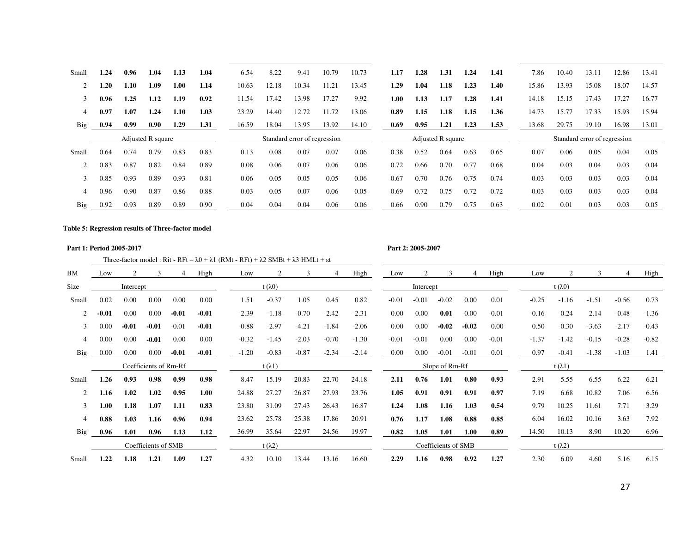| Small      | 1.24 | 0.96 | 1.04                     | 1.13 | 1.04 | 6.54  | 8.22  | 9.41                         | 10.79 | 10.73 | 1.17     | 1.28 | 1.31              | 1.24 | 1.41 | 7.86  | 10.40                        | 13.11 | 12.86 | 13.41 |
|------------|------|------|--------------------------|------|------|-------|-------|------------------------------|-------|-------|----------|------|-------------------|------|------|-------|------------------------------|-------|-------|-------|
|            | 1.20 | 1.10 | 1.09                     | 1.00 | 1.14 | 10.63 | 12.18 | 10.34                        | 1.21  | 13.45 | 1.29     | 1.04 | 1.18              | 1.23 | 1.40 | 15.86 | 13.93                        | 15.08 | 18.07 | 14.57 |
| 3          | 0.96 | 1.25 | 1.12                     | 1.19 | 0.92 | 11.54 | 17.42 | 13.98                        | 17.27 | 9.92  | $1.00\,$ | 1.13 | 1.17              | 1.28 | 1.41 | 14.18 | 15.15                        | 17.43 | 17.27 | 16.77 |
| 4          | 0.97 | 1.07 | 1.24                     | 1.10 | 1.03 | 23.29 | 14.40 | 12.72                        |       | 13.06 | 0.89     | 1.15 | 1.18              | 1.15 | 1.36 | 14.73 | 15.77                        | 17.33 | 15.93 | 15.94 |
| Big        | 0.94 | 0.99 | 0.90                     | 1.29 | 1.31 | 16.59 | 18.04 | 13.95                        | 13.92 | 14.10 | 0.69     | 0.95 | 1.21              | 1.23 | 1.53 | 13.68 | 29.75                        | 19.10 | 16.98 | 13.01 |
|            |      |      | <b>Adjusted R square</b> |      |      |       |       | Standard error of regression |       |       |          |      | Adjusted R square |      |      |       | Standard error of regression |       |       |       |
| Small      | 0.64 | 0.74 | 0.79                     | 0.83 | 0.83 | 0.13  | 0.08  | 0.07                         | 0.07  | 0.06  | 0.38     | 0.52 | 0.64              | 0.63 | 0.65 | 0.07  | 0.06                         | 0.05  | 0.04  | 0.05  |
|            | 0.83 | 0.87 | 0.82                     | 0.84 | 0.89 | 0.08  | 0.06  | 0.07                         | 0.06  | 0.06  | 0.72     | 0.66 | 0.70              | 0.77 | 0.68 | 0.04  | 0.03                         | 0.04  | 0.03  | 0.04  |
|            | 0.85 | 0.93 | 0.89                     | 0.93 | 0.81 | 0.06  | 0.05  | 0.05                         | 0.05  | 0.06  | 0.67     | 0.70 | 0.76              | 0.75 | 0.74 | 0.03  | 0.03                         | 0.03  | 0.03  | 0.04  |
|            | 0.96 | 0.90 | 0.87                     | 0.86 | 0.88 | 0.03  | 0.05  | 0.07                         | 0.06  | 0.05  | 0.69     | 0.72 | 0.75              | 0.72 | 0.72 | 0.03  | 0.03                         | 0.03  | 0.03  | 0.04  |
| <b>Big</b> | 0.92 | 0.93 | 0.89                     | 0.89 | 0.90 | 0.04  | 0.04  | 0.04                         | 0.06  | 0.06  | 0.66     | 0.90 | 0.79              | 0.75 | 0.63 | 0.02  | 0.01                         | 0.03  | 0.03  | 0.05  |

#### **Table 5: Regression results of Three-factor model**

#### **Part 1: Period 2005-2017 Part 2: 2005-2007**

Three-factor model : Rit - RFt =  $\lambda$ 0 +  $\lambda$ 1 (RMt - RFt) +  $\lambda$ 2 SMBt +  $\lambda$ 3 HMLt + εt

| BM             | Low     | 2         | $\mathcal{R}$         |         | High    | Low     |                 | 3       | 4       | High    | Low     |           | 3                   |         | High    | Low     |                 | 3       | $\overline{4}$ | High    |
|----------------|---------|-----------|-----------------------|---------|---------|---------|-----------------|---------|---------|---------|---------|-----------|---------------------|---------|---------|---------|-----------------|---------|----------------|---------|
| Size           |         | Intercept |                       |         |         |         | t $(\lambda 0)$ |         |         |         |         | Intercept |                     |         |         |         | t $(\lambda 0)$ |         |                |         |
| Small          | 0.02    | 0.00      | 0.00                  | 0.00    | 0.00    | 1.51    | $-0.37$         | 1.05    | 0.45    | 0.82    | $-0.01$ | $-0.01$   | $-0.02$             | 0.00    | 0.01    | $-0.25$ | $-1.16$         | $-1.51$ | $-0.56$        | 0.73    |
| 2              | $-0.01$ | 0.00      | 0.00                  | $-0.01$ | $-0.01$ | $-2.39$ | $-1.18$         | $-0.70$ | $-2.42$ | $-2.31$ | 0.00    | 0.00      | 0.01                | 0.00    | $-0.01$ | $-0.16$ | $-0.24$         | 2.14    | $-0.48$        | $-1.36$ |
| 3              | 0.00    | $-0.01$   | $-0.01$               | $-0.01$ | $-0.01$ | $-0.88$ | $-2.97$         | $-4.21$ | $-1.84$ | $-2.06$ | 0.00    | 0.00      | $-0.02$             | $-0.02$ | 0.00    | 0.50    | $-0.30$         | $-3.63$ | $-2.17$        | $-0.43$ |
| 4              | 0.00    | 0.00      | $-0.01$               | 0.00    | 0.00    | $-0.32$ | $-1.45$         | $-2.03$ | $-0.70$ | $-1.30$ | $-0.01$ | $-0.01$   | 0.00                | 0.00    | $-0.01$ | $-1.37$ | $-1.42$         | $-0.15$ | $-0.28$        | $-0.82$ |
| Big            | 0.00    | 0.00      | 0.00                  | $-0.01$ | $-0.01$ | $-1.20$ | $-0.83$         | $-0.87$ | $-2.34$ | $-2.14$ | 0.00    | 0.00      | $-0.01$             | $-0.01$ | 0.01    | 0.97    | $-0.41$         | $-1.38$ | $-1.03$        | 1.41    |
|                |         |           | Coefficients of Rm-Rf |         |         |         | $t(\lambda 1)$  |         |         |         |         |           | Slope of Rm-Rf      |         |         |         | t $(\lambda 1)$ |         |                |         |
| Small          | 1.26    | 0.93      | 0.98                  | 0.99    | 0.98    | 8.47    | 15.19           | 20.83   | 22.70   | 24.18   | 2.11    | 0.76      | 1.01                | 0.80    | 0.93    | 2.91    | 5.55            | 6.55    | 6.22           | 6.21    |
| $\overline{c}$ | 1.16    | 1.02      | 1.02                  | 0.95    | 1.00    | 24.88   | 27.27           | 26.87   | 27.93   | 23.76   | 1.05    | 0.91      | 0.91                | 0.91    | 0.97    | 7.19    | 6.68            | 10.82   | 7.06           | 6.56    |
| 3              | 1.00    | 1.18      | 1.07                  | 1.11    | 0.83    | 23.80   | 31.09           | 27.43   | 26.43   | 16.87   | 1.24    | 1.08      | 1.16                | 1.03    | 0.54    | 9.79    | 10.25           | 11.61   | 7.71           | 3.29    |
| 4              | 0.88    | 1.03      | 1.16                  | 0.96    | 0.94    | 23.62   | 25.78           | 25.38   | 17.86   | 20.91   | 0.76    | 1.17      | 1.08                | 0.88    | 0.85    | 6.04    | 16.02           | 10.16   | 3.63           | 7.92    |
| Big            | 0.96    | 1.01      | 0.96                  | 1.13    | 1.12    | 36.99   | 35.64           | 22.97   | 24.56   | 19.97   | 0.82    | 1.05      | 1.01                | 1.00    | 0.89    | 14.50   | 10.13           | 8.90    | 10.20          | 6.96    |
|                |         |           | Coefficients of SMB   |         |         |         | t $(\lambda 2)$ |         |         |         |         |           | Coefficients of SMB |         |         |         | t $(\lambda 2)$ |         |                |         |
| Small          | 1.22    | 1.18      | 1.21                  | 1.09    | 1.27    | 4.32    | 10.10           | 13.44   | 13.16   | 16.60   | 2.29    | 1.16      | 0.98                | 0.92    | 1.27    | 2.30    | 6.09            | 4.60    | 5.16           | 6.15    |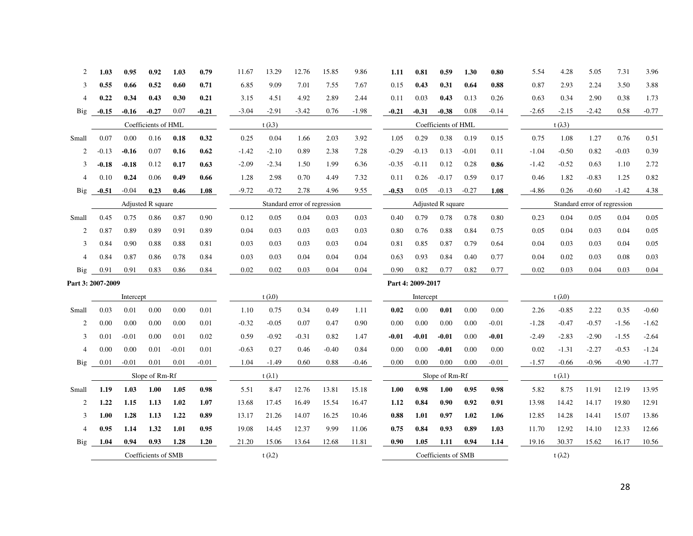| 2              | 1.03              | 0.95      | 0.92                | 1.03    | 0.79    | 11.67   | 13.29           | 12.76                        | 15.85   | 9.86    | 1.11    | 0.81              | 0.59                | 1.30    | 0.80    | 5.54    | 4.28            | 5.05                         | 7.31    | 3.96    |
|----------------|-------------------|-----------|---------------------|---------|---------|---------|-----------------|------------------------------|---------|---------|---------|-------------------|---------------------|---------|---------|---------|-----------------|------------------------------|---------|---------|
| 3              | 0.55              | 0.66      | 0.52                | 0.60    | 0.71    | 6.85    | 9.09            | 7.01                         | 7.55    | 7.67    | 0.15    | 0.43              | 0.31                | 0.64    | 0.88    | 0.87    | 2.93            | 2.24                         | 3.50    | 3.88    |
| 4              | 0.22              | 0.34      | 0.43                | 0.30    | 0.21    | 3.15    | 4.51            | 4.92                         | 2.89    | 2.44    | 0.11    | 0.03              | 0.43                | 0.13    | 0.26    | 0.63    | 0.34            | 2.90                         | 0.38    | 1.73    |
| Big            | $-0.15$           | $-0.16$   | $-0.27$             | 0.07    | $-0.21$ | $-3.04$ | $-2.91$         | $-3.42$                      | 0.76    | $-1.98$ | $-0.21$ | $-0.31$           | $-0.38$             | 0.08    | $-0.14$ | $-2.65$ | $-2.15$         | $-2.42$                      | 0.58    | $-0.77$ |
|                |                   |           | Coefficients of HML |         |         |         | t $(\lambda 3)$ |                              |         |         |         |                   | Coefficients of HML |         |         |         | t $(\lambda 3)$ |                              |         |         |
| Small          | 0.07              | 0.00      | 0.16                | 0.18    | 0.32    | 0.25    | 0.04            | 1.66                         | 2.03    | 3.92    | 1.05    | 0.29              | 0.38                | 0.19    | 0.15    | 0.75    | 1.08            | 1.27                         | 0.76    | 0.51    |
| 2              | $-0.13$           | $-0.16$   | 0.07                | 0.16    | 0.62    | $-1.42$ | $-2.10$         | 0.89                         | 2.38    | 7.28    | $-0.29$ | $-0.13$           | 0.13                | $-0.01$ | 0.11    | $-1.04$ | $-0.50$         | 0.82                         | $-0.03$ | 0.39    |
| 3              | $-0.18$           | $-0.18$   | 0.12                | 0.17    | 0.63    | $-2.09$ | $-2.34$         | 1.50                         | 1.99    | 6.36    | $-0.35$ | $-0.11$           | 0.12                | 0.28    | 0.86    | $-1.42$ | $-0.52$         | 0.63                         | 1.10    | 2.72    |
| $\overline{4}$ | 0.10              | 0.24      | 0.06                | 0.49    | 0.66    | 1.28    | 2.98            | 0.70                         | 4.49    | 7.32    | 0.11    | 0.26              | $-0.17$             | 0.59    | 0.17    | 0.46    | 1.82            | $-0.83$                      | 1.25    | 0.82    |
| Big            | $-0.51$           | $-0.04$   | 0.23                | 0.46    | 1.08    | $-9.72$ | $-0.72$         | 2.78                         | 4.96    | 9.55    | $-0.53$ | 0.05              | $-0.13$             | $-0.27$ | 1.08    | $-4.86$ | 0.26            | $-0.60$                      | $-1.42$ | 4.38    |
|                |                   |           | Adjusted R square   |         |         |         |                 | Standard error of regression |         |         |         |                   | Adjusted R square   |         |         |         |                 | Standard error of regression |         |         |
| Small          | 0.45              | 0.75      | 0.86                | 0.87    | 0.90    | 0.12    | 0.05            | 0.04                         | 0.03    | 0.03    | 0.40    | 0.79              | 0.78                | 0.78    | 0.80    | 0.23    | 0.04            | 0.05                         | 0.04    | 0.05    |
| 2              | 0.87              | 0.89      | 0.89                | 0.91    | 0.89    | 0.04    | 0.03            | 0.03                         | 0.03    | 0.03    | 0.80    | 0.76              | 0.88                | 0.84    | 0.75    | 0.05    | 0.04            | 0.03                         | 0.04    | 0.05    |
| 3              | 0.84              | 0.90      | 0.88                | 0.88    | 0.81    | 0.03    | 0.03            | 0.03                         | 0.03    | 0.04    | 0.81    | 0.85              | 0.87                | 0.79    | 0.64    | 0.04    | 0.03            | 0.03                         | 0.04    | 0.05    |
| $\overline{4}$ | 0.84              | 0.87      | 0.86                | 0.78    | 0.84    | 0.03    | 0.03            | 0.04                         | 0.04    | 0.04    | 0.63    | 0.93              | 0.84                | 0.40    | 0.77    | 0.04    | 0.02            | 0.03                         | 0.08    | 0.03    |
| <b>Big</b>     | 0.91              | 0.91      | 0.83                | 0.86    | 0.84    | 0.02    | 0.02            | 0.03                         | 0.04    | 0.04    | 0.90    | 0.82              | 0.77                | 0.82    | 0.77    | 0.02    | 0.03            | 0.04                         | 0.03    | 0.04    |
|                | Part 3: 2007-2009 |           |                     |         |         |         |                 |                              |         |         |         | Part 4: 2009-2017 |                     |         |         |         |                 |                              |         |         |
|                |                   | Intercept |                     |         |         |         | $t(\lambda 0)$  |                              |         |         |         | Intercept         |                     |         |         |         | t $(\lambda 0)$ |                              |         |         |
| Small          | 0.03              | 0.01      | 0.00                | 0.00    | 0.01    | 1.10    | 0.75            | 0.34                         | 0.49    | 1.11    | 0.02    | 0.00              | 0.01                | 0.00    | 0.00    | 2.26    | $-0.85$         | 2.22                         | 0.35    | $-0.60$ |
| 2              | 0.00              | 0.00      | 0.00                | 0.00    | 0.01    | $-0.32$ | $-0.05$         | 0.07                         | 0.47    | 0.90    | 0.00    | 0.00              | 0.00                | 0.00    | $-0.01$ | $-1.28$ | $-0.47$         | $-0.57$                      | $-1.56$ | $-1.62$ |
| 3              | 0.01              | $-0.01$   | 0.00                | 0.01    | 0.02    | 0.59    | $-0.92$         | $-0.31$                      | 0.82    | 1.47    | $-0.01$ | $-0.01$           | $-0.01$             | 0.00    | $-0.01$ | $-2.49$ | $-2.83$         | $-2.90$                      | $-1.55$ | $-2.64$ |
| $\overline{4}$ | 0.00              | 0.00      | 0.01                | $-0.01$ | 0.01    | $-0.63$ | 0.27            | 0.46                         | $-0.40$ | 0.84    | 0.00    | 0.00              | $-0.01$             | 0.00    | 0.00    | 0.02    | $-1.31$         | $-2.27$                      | $-0.53$ | $-1.24$ |
| <b>Big</b>     | 0.01              | $-0.01$   | 0.01                | 0.01    | $-0.01$ | 1.04    | $-1.49$         | 0.60                         | 0.88    | $-0.46$ | 0.00    | 0.00              | 0.00                | 0.00    | $-0.01$ | $-1.57$ | $-0.66$         | $-0.96$                      | $-0.90$ | $-1.77$ |
|                |                   |           | Slope of Rm-Rf      |         |         |         | $t(\lambda 1)$  |                              |         |         |         |                   | Slope of Rm-Rf      |         |         |         | t $(\lambda 1)$ |                              |         |         |
| Small          | 1.19              | 1.03      | 1.00                | 1.05    | 0.98    | 5.51    | 8.47            | 12.76                        | 13.81   | 15.18   | 1.00    | 0.98              | 1.00                | 0.95    | 0.98    | 5.82    | 8.75            | 11.91                        | 12.19   | 13.95   |
| 2              | 1.22              | 1.15      | 1.13                | 1.02    | 1.07    | 13.68   | 17.45           | 16.49                        | 15.54   | 16.47   | 1.12    | 0.84              | 0.90                | 0.92    | 0.91    | 13.98   | 14.42           | 14.17                        | 19.80   | 12.91   |
| 3              | 1.00              | 1.28      | 1.13                | 1.22    | 0.89    | 13.17   | 21.26           | 14.07                        | 16.25   | 10.46   | 0.88    | 1.01              | 0.97                | 1.02    | 1.06    | 12.85   | 14.28           | 14.41                        | 15.07   | 13.86   |
| $\overline{4}$ | 0.95              | 1.14      | 1.32                | 1.01    | 0.95    | 19.08   | 14.45           | 12.37                        | 9.99    | 11.06   | 0.75    | 0.84              | 0.93                | 0.89    | 1.03    | 11.70   | 12.92           | 14.10                        | 12.33   | 12.66   |
| Big            | 1.04              | 0.94      | 0.93                | 1.28    | 1.20    | 21.20   | 15.06           | 13.64                        | 12.68   | 11.81   | 0.90    | 1.05              | 1.11                | 0.94    | 1.14    | 19.16   | 30.37           | 15.62                        | 16.17   | 10.56   |
|                |                   |           | Coefficients of SMB |         |         |         | t $(\lambda 2)$ |                              |         |         |         |                   | Coefficients of SMB |         |         |         | t $(\lambda 2)$ |                              |         |         |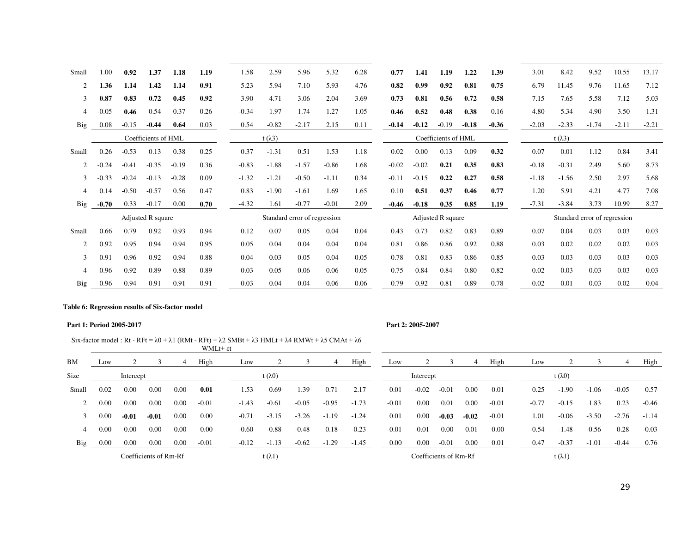| Small          | 1.00    | 0.92    | 1.37                | 1.18    | 1.19 | 1.58    | 2.59            | 5.96                         | 5.32    | 6.28 | 0.77    | 1.41    | 1.19                | 1.22    | 1.39    | 3.01    | 8.42            | 9.52                         | 10.55   | 13.17   |
|----------------|---------|---------|---------------------|---------|------|---------|-----------------|------------------------------|---------|------|---------|---------|---------------------|---------|---------|---------|-----------------|------------------------------|---------|---------|
| 2              | 1.36    | 1.14    | 1.42                | 1.14    | 0.91 | 5.23    | 5.94            | 7.10                         | 5.93    | 4.76 | 0.82    | 0.99    | 0.92                | 0.81    | 0.75    | 6.79    | 11.45           | 9.76                         | 11.65   | 7.12    |
| 3              | 0.87    | 0.83    | 0.72                | 0.45    | 0.92 | 3.90    | 4.71            | 3.06                         | 2.04    | 3.69 | 0.73    | 0.81    | 0.56                | 0.72    | 0.58    | 7.15    | 7.65            | 5.58                         | 7.12    | 5.03    |
| 4              | $-0.05$ | 0.46    | 0.54                | 0.37    | 0.26 | $-0.34$ | 1.97            | 1.74                         | 1.27    | 1.05 | 0.46    | 0.52    | 0.48                | 0.38    | 0.16    | 4.80    | 5.34            | 4.90                         | 3.50    | 1.31    |
| <b>Big</b>     | 0.08    | $-0.15$ | $-0.44$             | 0.64    | 0.03 | 0.54    | $-0.82$         | $-2.17$                      | 2.15    | 0.11 | $-0.14$ | $-0.12$ | $-0.19$             | $-0.18$ | $-0.36$ | $-2.03$ | $-2.33$         | $-1.74$                      | $-2.11$ | $-2.21$ |
|                |         |         | Coefficients of HML |         |      |         | t $(\lambda 3)$ |                              |         |      |         |         | Coefficients of HML |         |         |         | t $(\lambda 3)$ |                              |         |         |
| Small          | 0.26    | $-0.53$ | 0.13                | 0.38    | 0.25 | 0.37    | $-1.31$         | 0.51                         | 1.53    | 1.18 | 0.02    | 0.00    | 0.13                | 0.09    | 0.32    | 0.07    | 0.01            | 1.12                         | 0.84    | 3.41    |
| $\overline{c}$ | $-0.24$ | $-0.41$ | $-0.35$             | $-0.19$ | 0.36 | $-0.83$ | $-1.88$         | $-1.57$                      | $-0.86$ | 1.68 | $-0.02$ | $-0.02$ | 0.21                | 0.35    | 0.83    | $-0.18$ | $-0.31$         | 2.49                         | 5.60    | 8.73    |
| 3              | $-0.33$ | $-0.24$ | $-0.13$             | $-0.28$ | 0.09 | $-1.32$ | $-1.21$         | $-0.50$                      | $-1.11$ | 0.34 | $-0.11$ | $-0.15$ | 0.22                | 0.27    | 0.58    | $-1.18$ | $-1.56$         | 2.50                         | 2.97    | 5.68    |
| $\overline{4}$ | 0.14    | $-0.50$ | $-0.57$             | 0.56    | 0.47 | 0.83    | $-1.90$         | $-1.61$                      | 1.69    | 1.65 | 0.10    | 0.51    | 0.37                | 0.46    | 0.77    | 1.20    | 5.91            | 4.21                         | 4.77    | 7.08    |
| Big            | $-0.70$ | 0.33    | $-0.17$             | 0.00    | 0.70 | $-4.32$ | 1.61            | $-0.77$                      | $-0.01$ | 2.09 | $-0.46$ | $-0.18$ | 0.35                | 0.85    | 1.19    | $-7.31$ | $-3.84$         | 3.73                         | 10.99   | 8.27    |
|                |         |         | Adjusted R square   |         |      |         |                 | Standard error of regression |         |      |         |         | Adjusted R square   |         |         |         |                 | Standard error of regression |         |         |
| Small          | 0.66    | 0.79    | 0.92                | 0.93    | 0.94 | 0.12    | 0.07            | 0.05                         | 0.04    | 0.04 | 0.43    | 0.73    | 0.82                | 0.83    | 0.89    | 0.07    | 0.04            | 0.03                         | 0.03    | 0.03    |
| $\overline{2}$ | 0.92    | 0.95    | 0.94                | 0.94    | 0.95 | 0.05    | 0.04            | 0.04                         | 0.04    | 0.04 | 0.81    | 0.86    | 0.86                | 0.92    | 0.88    | 0.03    | 0.02            | 0.02                         | 0.02    | 0.03    |
| 3              | 0.91    | 0.96    | 0.92                | 0.94    | 0.88 | 0.04    | 0.03            | 0.05                         | 0.04    | 0.05 | 0.78    | 0.81    | 0.83                | 0.86    | 0.85    | 0.03    | 0.03            | 0.03                         | 0.03    | 0.03    |
| 4              | 0.96    | 0.92    | 0.89                | 0.88    | 0.89 | 0.03    | 0.05            | 0.06                         | 0.06    | 0.05 | 0.75    | 0.84    | 0.84                | 0.80    | 0.82    | 0.02    | 0.03            | 0.03                         | 0.03    | 0.03    |
| Big            | 0.96    | 0.94    | 0.91                | 0.91    | 0.91 | 0.03    | 0.04            | 0.04                         | 0.06    | 0.06 | 0.79    | 0.92    | 0.81                | 0.89    | 0.78    | 0.02    | 0.01            | 0.03                         | 0.02    | 0.04    |

#### **Table 6: Regression results of Six-factor model**

#### **Part 1: Period 2005-2017 Part 2: 2005-2007**

Six-factor model : Rt - RFt =  $\lambda$ 0 +  $\lambda$ 1 (RMt - RFt) +  $\lambda$ 2 SMBt +  $\lambda$ 3 HMLt +  $\lambda$ 4 RMWt +  $\lambda$ 5 CMAt +  $\lambda$ 6

|             |                               |                                 |                       |      | WMLt+ εt |         |                 |         |         |         |         |           |                       |         |         |         |                  |         |         |         |
|-------------|-------------------------------|---------------------------------|-----------------------|------|----------|---------|-----------------|---------|---------|---------|---------|-----------|-----------------------|---------|---------|---------|------------------|---------|---------|---------|
| <b>BM</b>   | Low                           |                                 |                       | 4    | High     | Low     |                 |         | 4       | High    | Low     |           |                       | 4       | High    | Low     |                  |         | 4       | High    |
| <b>Size</b> | t ( $\lambda$ 0)<br>Intercept |                                 |                       |      |          |         |                 |         |         |         |         | Intercept |                       |         |         |         | t ( $\lambda$ 0) |         |         |         |
| Small       | 0.02                          | 0.00                            | 0.00                  | 0.00 | 0.01     | 1.53    | 0.69            | .39     | 0.71    | 2.17    | 0.01    | $-0.02$   | $-0.01$               | 0.00    | 0.01    | 0.25    | $-1.90$          | $-1.06$ | $-0.05$ | 0.57    |
|             | 0.00                          | 0.00<br>0.00<br>0.00<br>$-0.01$ |                       |      |          | $-1.43$ | $-0.61$         | $-0.05$ | $-0.95$ | $-1.73$ | $-0.01$ | 0.00      | 0.01                  | 0.00    | $-0.01$ | $-0.77$ | $-0.15$          | 1.83    | 0.23    | $-0.46$ |
|             | 0.00                          | $-0.01$                         | $-0.01$               | 0.00 | 0.00     | $-0.71$ | $-3.15$         | $-3.26$ | $-1.19$ | $-1.24$ | 0.01    | 0.00      | $-0.03$               | $-0.02$ | $-0.01$ | 1.01    | $-0.06$          | $-3.50$ | $-2.76$ | $-1.14$ |
|             | 0.00                          | 0.00                            | 0.00                  | 0.00 | 0.00     | $-0.60$ | $-0.88$         | $-0.48$ | 0.18    | $-0.23$ | $-0.01$ | $-0.01$   | 0.00                  | 0.01    | 0.00    | $-0.54$ | $-1.48$          | $-0.56$ | 0.28    | $-0.03$ |
| Big         | $0.00\,$                      | 0.00                            | 0.00                  | 0.00 | $-0.01$  | $-0.12$ | $-1.13$         | $-0.62$ | $-1.29$ | $-1.45$ | 0.00    | 0.00      | $-0.01$               | 0.00    | 0.01    | 0.47    | $-0.37$          | $-1.01$ | $-0.44$ | 0.76    |
|             |                               |                                 | Coefficients of Rm-Rf |      |          |         | t $(\lambda 1)$ |         |         |         |         |           | Coefficients of Rm-Rf |         |         |         | t $(\lambda 1)$  |         |         |         |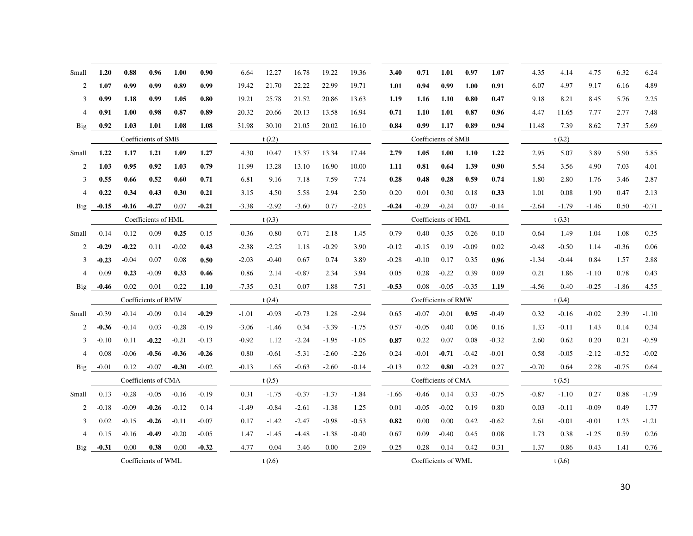| Small          | 1.20    | 0.88    | 0.96                | 1.00    | 0.90    | 6.64    | 12.27           | 16.78   | 19.22   | 19.36   | 3.40    | 0.71    | 1.01                | 0.97    | 1.07    | 4.35    | 4.14            | 4.75    | 6.32    | 6.24    |
|----------------|---------|---------|---------------------|---------|---------|---------|-----------------|---------|---------|---------|---------|---------|---------------------|---------|---------|---------|-----------------|---------|---------|---------|
| 2              | 1.07    | 0.99    | 0.99                | 0.89    | 0.99    | 19.42   | 21.70           | 22.22   | 22.99   | 19.71   | 1.01    | 0.94    | 0.99                | 1.00    | 0.91    | 6.07    | 4.97            | 9.17    | 6.16    | 4.89    |
| 3              | 0.99    | 1.18    | 0.99                | 1.05    | 0.80    | 19.21   | 25.78           | 21.52   | 20.86   | 13.63   | 1.19    | 1.16    | 1.10                | 0.80    | 0.47    | 9.18    | 8.21            | 8.45    | 5.76    | 2.25    |
| $\overline{4}$ | 0.91    | 1.00    | 0.98                | 0.87    | 0.89    | 20.32   | 20.66           | 20.13   | 13.58   | 16.94   | 0.71    | 1.10    | 1.01                | 0.87    | 0.96    | 4.47    | 11.65           | 7.77    | 2.77    | 7.48    |
| Big            | 0.92    | 1.03    | 1.01                | 1.08    | 1.08    | 31.98   | 30.10           | 21.05   | 20.02   | 16.10   | 0.84    | 0.99    | 1.17                | 0.89    | 0.94    | 11.48   | 7.39            | 8.62    | 7.37    | 5.69    |
|                |         |         | Coefficients of SMB |         |         |         | t $(\lambda 2)$ |         |         |         |         |         | Coefficients of SMB |         |         |         | t $(\lambda 2)$ |         |         |         |
| Small          | 1.22    | 1.17    | 1.21                | 1.09    | 1.27    | 4.30    | 10.47           | 13.37   | 13.34   | 17.44   | 2.79    | 1.05    | 1.00                | 1.10    | 1.22    | 2.95    | 5.07            | 3.89    | 5.90    | 5.85    |
| 2              | 1.03    | 0.95    | 0.92                | 1.03    | 0.79    | 11.99   | 13.28           | 13.10   | 16.90   | 10.00   | 1.11    | 0.81    | 0.64                | 1.39    | 0.90    | 5.54    | 3.56            | 4.90    | 7.03    | 4.01    |
| 3              | 0.55    | 0.66    | 0.52                | 0.60    | 0.71    | 6.81    | 9.16            | 7.18    | 7.59    | 7.74    | 0.28    | 0.48    | 0.28                | 0.59    | 0.74    | 1.80    | 2.80            | 1.76    | 3.46    | 2.87    |
| $\overline{4}$ | 0.22    | 0.34    | 0.43                | 0.30    | 0.21    | 3.15    | 4.50            | 5.58    | 2.94    | 2.50    | 0.20    | 0.01    | 0.30                | 0.18    | 0.33    | 1.01    | 0.08            | 1.90    | 0.47    | 2.13    |
| Big            | $-0.15$ | $-0.16$ | $-0.27$             | 0.07    | $-0.21$ | $-3.38$ | $-2.92$         | $-3.60$ | 0.77    | $-2.03$ | $-0.24$ | $-0.29$ | $-0.24$             | 0.07    | $-0.14$ | $-2.64$ | $-1.79$         | $-1.46$ | 0.50    | $-0.71$ |
|                |         |         | Coefficients of HML |         |         |         | t $(\lambda 3)$ |         |         |         |         |         | Coefficients of HML |         |         |         | t $(\lambda 3)$ |         |         |         |
| Small          | $-0.14$ | $-0.12$ | 0.09                | 0.25    | 0.15    | $-0.36$ | $-0.80$         | 0.71    | 2.18    | 1.45    | 0.79    | 0.40    | 0.35                | 0.26    | 0.10    | 0.64    | 1.49            | 1.04    | 1.08    | 0.35    |
| 2              | $-0.29$ | $-0.22$ | 0.11                | $-0.02$ | 0.43    | $-2.38$ | $-2.25$         | 1.18    | $-0.29$ | 3.90    | $-0.12$ | $-0.15$ | 0.19                | $-0.09$ | 0.02    | $-0.48$ | $-0.50$         | 1.14    | $-0.36$ | 0.06    |
| 3              | $-0.23$ | $-0.04$ | 0.07                | 0.08    | 0.50    | $-2.03$ | $-0.40$         | 0.67    | 0.74    | 3.89    | $-0.28$ | $-0.10$ | 0.17                | 0.35    | 0.96    | $-1.34$ | $-0.44$         | 0.84    | 1.57    | 2.88    |
| $\overline{4}$ | 0.09    | 0.23    | $-0.09$             | 0.33    | 0.46    | 0.86    | 2.14            | $-0.87$ | 2.34    | 3.94    | 0.05    | 0.28    | $-0.22$             | 0.39    | 0.09    | 0.21    | 1.86            | $-1.10$ | 0.78    | 0.43    |
| Big            | $-0.46$ | 0.02    | 0.01                | 0.22    | 1.10    | $-7.35$ | 0.31            | 0.07    | 1.88    | 7.51    | $-0.53$ | 0.08    | $-0.05$             | $-0.35$ | 1.19    | $-4.56$ | 0.40            | $-0.25$ | $-1.86$ | 4.55    |
|                |         |         | Coefficients of RMW |         |         |         | t $(\lambda 4)$ |         |         |         |         |         | Coefficients of RMW |         |         |         | t $(\lambda 4)$ |         |         |         |
| Small          | $-0.39$ | $-0.14$ | $-0.09$             | 0.14    | $-0.29$ | $-1.01$ | $-0.93$         | $-0.73$ | 1.28    | $-2.94$ | 0.65    | $-0.07$ | $-0.01$             | 0.95    | $-0.49$ | 0.32    | $-0.16$         | $-0.02$ | 2.39    | $-1.10$ |
| 2              | $-0.36$ | $-0.14$ | 0.03                | $-0.28$ | $-0.19$ | $-3.06$ | $-1.46$         | 0.34    | $-3.39$ | $-1.75$ | 0.57    | $-0.05$ | 0.40                | 0.06    | 0.16    | 1.33    | $-0.11$         | 1.43    | 0.14    | 0.34    |
| 3              | $-0.10$ | 0.11    | $-0.22$             | $-0.21$ | $-0.13$ | $-0.92$ | 1.12            | $-2.24$ | $-1.95$ | $-1.05$ | 0.87    | 0.22    | 0.07                | 0.08    | $-0.32$ | 2.60    | 0.62            | 0.20    | 0.21    | $-0.59$ |
| $\overline{4}$ | 0.08    | $-0.06$ | $-0.56$             | $-0.36$ | $-0.26$ | 0.80    | $-0.61$         | $-5.31$ | $-2.60$ | $-2.26$ | 0.24    | $-0.01$ | $-0.71$             | $-0.42$ | $-0.01$ | 0.58    | $-0.05$         | $-2.12$ | $-0.52$ | $-0.02$ |
| Big            | $-0.01$ | 0.12    | $-0.07$             | $-0.30$ | $-0.02$ | $-0.13$ | 1.65            | $-0.63$ | $-2.60$ | $-0.14$ | $-0.13$ | 0.22    | 0.80                | $-0.23$ | 0.27    | $-0.70$ | 0.64            | 2.28    | $-0.75$ | 0.64    |
|                |         |         | Coefficients of CMA |         |         |         | t $(\lambda 5)$ |         |         |         |         |         | Coefficients of CMA |         |         |         | t $(\lambda 5)$ |         |         |         |
| Small          | 0.13    | $-0.28$ | $-0.05$             | $-0.16$ | $-0.19$ | 0.31    | $-1.75$         | $-0.37$ | $-1.37$ | $-1.84$ | $-1.66$ | $-0.46$ | 0.14                | 0.33    | $-0.75$ | $-0.87$ | $-1.10$         | 0.27    | 0.88    | $-1.79$ |
| 2              | $-0.18$ | $-0.09$ | $-0.26$             | $-0.12$ | 0.14    | $-1.49$ | $-0.84$         | $-2.61$ | $-1.38$ | 1.25    | 0.01    | $-0.05$ | $-0.02$             | 0.19    | 0.80    | 0.03    | $-0.11$         | $-0.09$ | 0.49    | 1.77    |
| 3              | 0.02    | $-0.15$ | $-0.26$             | $-0.11$ | $-0.07$ | 0.17    | $-1.42$         | $-2.47$ | $-0.98$ | $-0.53$ | 0.82    | 0.00    | 0.00                | 0.42    | $-0.62$ | 2.61    | $-0.01$         | $-0.01$ | 1.23    | $-1.21$ |
| $\overline{4}$ | 0.15    | $-0.16$ | $-0.49$             | $-0.20$ | $-0.05$ | 1.47    | $-1.45$         | -4.48   | $-1.38$ | $-0.40$ | 0.67    | 0.09    | $-0.40$             | 0.45    | 0.08    | 1.73    | 0.38            | $-1.25$ | 0.59    | 0.26    |
| Big            | $-0.31$ | 0.00    | 0.38                | 0.00    | $-0.32$ | $-4.77$ | 0.04            | 3.46    | 0.00    | $-2.09$ | $-0.25$ | 0.28    | 0.14                | 0.42    | $-0.31$ | $-1.37$ | 0.86            | 0.43    | 1.41    | $-0.76$ |
|                |         |         | Coefficients of WML |         |         |         | t $(\lambda 6)$ |         |         |         |         |         | Coefficients of WML |         |         |         | t $(\lambda 6)$ |         |         |         |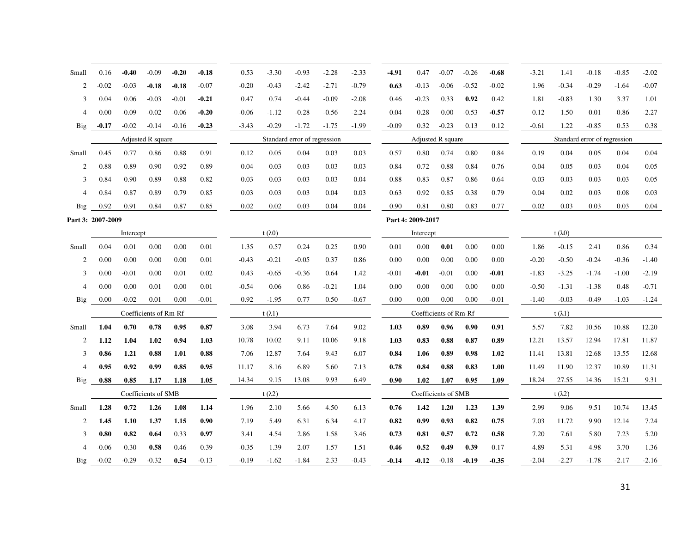| Small             | 0.16    | $-0.40$   | $-0.09$               | $-0.20$ | $-0.18$ | 0.53    | $-3.30$         | $-0.93$                      | $-2.28$ | $-2.33$ | -4.91   | 0.47              | $-0.07$               | $-0.26$ | $-0.68$ | $-3.21$ | 1.41            | $-0.18$                      | $-0.85$ | $-2.02$ |
|-------------------|---------|-----------|-----------------------|---------|---------|---------|-----------------|------------------------------|---------|---------|---------|-------------------|-----------------------|---------|---------|---------|-----------------|------------------------------|---------|---------|
| 2                 | $-0.02$ | $-0.03$   | $-0.18$               | $-0.18$ | $-0.07$ | $-0.20$ | $-0.43$         | $-2.42$                      | $-2.71$ | $-0.79$ | 0.63    | $-0.13$           | $-0.06$               | $-0.52$ | $-0.02$ | 1.96    | $-0.34$         | $-0.29$                      | $-1.64$ | $-0.07$ |
| 3                 | 0.04    | 0.06      | $-0.03$               | $-0.01$ | $-0.21$ | 0.47    | 0.74            | $-0.44$                      | $-0.09$ | $-2.08$ | 0.46    | $-0.23$           | 0.33                  | 0.92    | 0.42    | 1.81    | $-0.83$         | 1.30                         | 3.37    | 1.01    |
| $\overline{4}$    | 0.00    | $-0.09$   | $-0.02$               | $-0.06$ | $-0.20$ | $-0.06$ | $-1.12$         | $-0.28$                      | $-0.56$ | $-2.24$ | 0.04    | 0.28              | 0.00                  | $-0.53$ | $-0.57$ | 0.12    | 1.50            | 0.01                         | $-0.86$ | $-2.27$ |
| Big               | $-0.17$ | $-0.02$   | $-0.14$               | $-0.16$ | $-0.23$ | $-3.43$ | $-0.29$         | $-1.72$                      | $-1.75$ | $-1.99$ | $-0.09$ | 0.32              | $-0.23$               | 0.13    | 0.12    | $-0.61$ | 1.22            | $-0.85$                      | 0.53    | 0.38    |
|                   |         |           | Adjusted R square     |         |         |         |                 | Standard error of regression |         |         |         |                   | Adjusted R square     |         |         |         |                 | Standard error of regression |         |         |
| Small             | 0.45    | 0.77      | 0.86                  | 0.88    | 0.91    | 0.12    | 0.05            | 0.04                         | 0.03    | 0.03    | 0.57    | 0.80              | 0.74                  | 0.80    | 0.84    | 0.19    | 0.04            | 0.05                         | 0.04    | 0.04    |
| 2                 | 0.88    | 0.89      | 0.90                  | 0.92    | 0.89    | 0.04    | 0.03            | 0.03                         | 0.03    | 0.03    | 0.84    | 0.72              | 0.88                  | 0.84    | 0.76    | 0.04    | 0.05            | 0.03                         | 0.04    | 0.05    |
| 3                 | 0.84    | 0.90      | 0.89                  | 0.88    | 0.82    | 0.03    | 0.03            | 0.03                         | 0.03    | 0.04    | 0.88    | 0.83              | 0.87                  | 0.86    | 0.64    | 0.03    | 0.03            | 0.03                         | 0.03    | 0.05    |
| $\overline{4}$    | 0.84    | 0.87      | 0.89                  | 0.79    | 0.85    | 0.03    | 0.03            | 0.03                         | 0.04    | 0.03    | 0.63    | 0.92              | 0.85                  | 0.38    | 0.79    | 0.04    | 0.02            | 0.03                         | 0.08    | 0.03    |
| Big               | 0.92    | 0.91      | 0.84                  | 0.87    | 0.85    | 0.02    | 0.02            | 0.03                         | 0.04    | 0.04    | 0.90    | 0.81              | 0.80                  | 0.83    | 0.77    | 0.02    | 0.03            | 0.03                         | 0.03    | 0.04    |
| Part 3: 2007-2009 |         |           |                       |         |         |         |                 |                              |         |         |         | Part 4: 2009-2017 |                       |         |         |         |                 |                              |         |         |
|                   |         | Intercept |                       |         |         |         | t $(\lambda 0)$ |                              |         |         |         | Intercept         |                       |         |         |         | t $(\lambda 0)$ |                              |         |         |
| Small             | 0.04    | 0.01      | 0.00                  | 0.00    | 0.01    | 1.35    | 0.57            | 0.24                         | 0.25    | 0.90    | 0.01    | 0.00              | 0.01                  | 0.00    | 0.00    | 1.86    | $-0.15$         | 2.41                         | 0.86    | 0.34    |
| 2                 | 0.00    | 0.00      | 0.00                  | 0.00    | 0.01    | $-0.43$ | $-0.21$         | $-0.05$                      | 0.37    | 0.86    | 0.00    | 0.00              | 0.00                  | 0.00    | 0.00    | $-0.20$ | $-0.50$         | $-0.24$                      | $-0.36$ | $-1.40$ |
| 3                 | 0.00    | $-0.01$   | 0.00                  | 0.01    | 0.02    | 0.43    | $-0.65$         | $-0.36$                      | 0.64    | 1.42    | $-0.01$ | $-0.01$           | $-0.01$               | 0.00    | $-0.01$ | $-1.83$ | $-3.25$         | $-1.74$                      | $-1.00$ | $-2.19$ |
| $\overline{4}$    | 0.00    | 0.00      | 0.01                  | 0.00    | 0.01    | $-0.54$ | 0.06            | 0.86                         | $-0.21$ | 1.04    | 0.00    | 0.00              | 0.00                  | 0.00    | 0.00    | $-0.50$ | $-1.31$         | $-1.38$                      | 0.48    | $-0.71$ |
| <b>Big</b>        | 0.00    | $-0.02$   | 0.01                  | 0.00    | $-0.01$ | 0.92    | $-1.95$         | 0.77                         | 0.50    | $-0.67$ | 0.00    | 0.00              | 0.00                  | 0.00    | $-0.01$ | $-1.40$ | $-0.03$         | $-0.49$                      | $-1.03$ | $-1.24$ |
|                   |         |           | Coefficients of Rm-Rf |         |         |         | t $(\lambda 1)$ |                              |         |         |         |                   | Coefficients of Rm-Rf |         |         |         | t $(\lambda 1)$ |                              |         |         |
| Small             | 1.04    | 0.70      | 0.78                  | 0.95    | 0.87    | 3.08    | 3.94            | 6.73                         | 7.64    | 9.02    | 1.03    | 0.89              | 0.96                  | 0.90    | 0.91    | 5.57    | 7.82            | 10.56                        | 10.88   | 12.20   |
| 2                 | 1.12    | 1.04      | 1.02                  | 0.94    | 1.03    | 10.78   | 10.02           | 9.11                         | 10.06   | 9.18    | 1.03    | 0.83              | 0.88                  | 0.87    | 0.89    | 12.21   | 13.57           | 12.94                        | 17.81   | 11.87   |
| 3                 | 0.86    | 1.21      | 0.88                  | 1.01    | 0.88    | 7.06    | 12.87           | 7.64                         | 9.43    | 6.07    | 0.84    | 1.06              | 0.89                  | 0.98    | 1.02    | 11.41   | 13.81           | 12.68                        | 13.55   | 12.68   |
| $\overline{4}$    | 0.95    | 0.92      | 0.99                  | 0.85    | 0.95    | 11.17   | 8.16            | 6.89                         | 5.60    | 7.13    | 0.78    | 0.84              | 0.88                  | 0.83    | 1.00    | 11.49   | 11.90           | 12.37                        | 10.89   | 11.31   |
| Big               | 0.88    | 0.85      | 1.17                  | 1.18    | 1.05    | 14.34   | 9.15            | 13.08                        | 9.93    | 6.49    | 0.90    | 1.02              | 1.07                  | 0.95    | 1.09    | 18.24   | 27.55           | 14.36                        | 15.21   | 9.31    |
|                   |         |           | Coefficients of SMB   |         |         |         | t $(\lambda 2)$ |                              |         |         |         |                   | Coefficients of SMB   |         |         |         | t $(\lambda 2)$ |                              |         |         |
| Small             | 1.28    | 0.72      | 1.26                  | 1.08    | 1.14    | 1.96    | 2.10            | 5.66                         | 4.50    | 6.13    | 0.76    | 1.42              | 1.20                  | 1.23    | 1.39    | 2.99    | 9.06            | 9.51                         | 10.74   | 13.45   |
| 2                 | 1.45    | 1.10      | 1.37                  | 1.15    | 0.90    | 7.19    | 5.49            | 6.31                         | 6.34    | 4.17    | 0.82    | 0.99              | 0.93                  | 0.82    | 0.75    | 7.03    | 11.72           | 9.90                         | 12.14   | 7.24    |
| 3                 | 0.80    | 0.82      | 0.64                  | 0.33    | 0.97    | 3.41    | 4.54            | 2.86                         | 1.58    | 3.46    | 0.73    | 0.81              | 0.57                  | 0.72    | 0.58    | 7.20    | 7.61            | 5.80                         | 7.23    | 5.20    |
| $\overline{4}$    | $-0.06$ | 0.30      | 0.58                  | 0.46    | 0.39    | $-0.35$ | 1.39            | 2.07                         | 1.57    | 1.51    | 0.46    | 0.52              | 0.49                  | 0.39    | 0.17    | 4.89    | 5.31            | 4.98                         | 3.70    | 1.36    |
| Big               | $-0.02$ | $-0.29$   | $-0.32$               | 0.54    | $-0.13$ | $-0.19$ | $-1.62$         | $-1.84$                      | 2.33    | $-0.43$ | $-0.14$ | $-0.12$           | $-0.18$               | $-0.19$ | $-0.35$ | $-2.04$ | $-2.27$         | $-1.78$                      | $-2.17$ | $-2.16$ |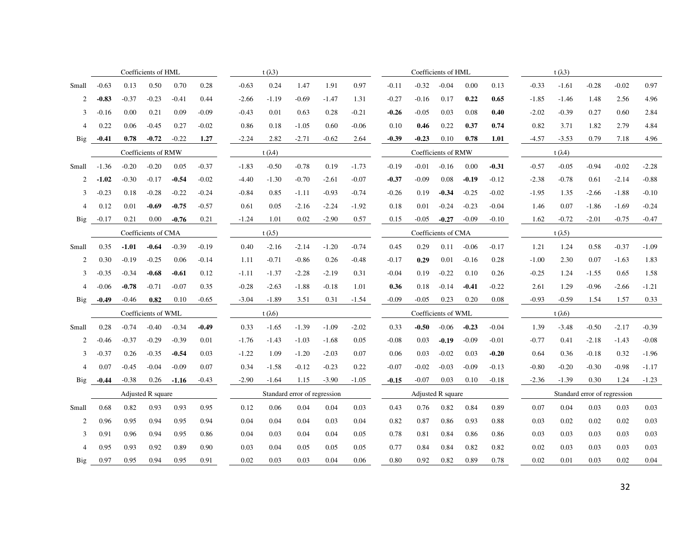|                |                     | Coefficients of HML |         |         | t $(\lambda 3)$ |         |                              |      |         |         | Coefficients of HML |                     |                     |         |         | t $(\lambda 3)$ |                 |                              |         |         |         |  |
|----------------|---------------------|---------------------|---------|---------|-----------------|---------|------------------------------|------|---------|---------|---------------------|---------------------|---------------------|---------|---------|-----------------|-----------------|------------------------------|---------|---------|---------|--|
| Small          | $-0.63$             | 0.13                | 0.50    | 0.70    | 0.28            | $-0.63$ | 0.24                         |      | 1.47    | 1.91    | 0.97                | $-0.11$             | $-0.32$             | $-0.04$ | 0.00    | 0.13            | $-0.33$         | $-1.61$                      | $-0.28$ | $-0.02$ | 0.97    |  |
| 2              | $-0.83$             | $-0.37$             | $-0.23$ | $-0.41$ | 0.44            | $-2.66$ | $-1.19$                      |      | $-0.69$ | $-1.47$ | 1.31                | $-0.27$             | $-0.16$             | 0.17    | 0.22    | 0.65            | $-1.85$         | $-1.46$                      | 1.48    | 2.56    | 4.96    |  |
| 3              | $-0.16$             | 0.00                | 0.21    | 0.09    | $-0.09$         | $-0.43$ | 0.01                         |      | 0.63    | 0.28    | $-0.21$             | $-0.26$             | $-0.05$             | 0.03    | 0.08    | 0.40            | $-2.02$         | $-0.39$                      | 0.27    | 0.60    | 2.84    |  |
| $\overline{4}$ | 0.22                | 0.06                | $-0.45$ | 0.27    | $-0.02$         | 0.86    | 0.18                         |      | $-1.05$ | 0.60    | $-0.06$             | 0.10                | 0.46                | 0.22    | 0.37    | 0.74            | 0.82            | 3.71                         | 1.82    | 2.79    | 4.84    |  |
| <b>Big</b>     | $-0.41$             | 0.78                | $-0.72$ | $-0.22$ | 1.27            | $-2.24$ |                              | 2.82 | $-2.71$ | $-0.62$ | 2.64                | $-0.39$             | $-0.23$             | 0.10    | 0.78    | 1.01            | $-4.57$         | $-3.53$                      | 0.79    | 7.18    | 4.96    |  |
|                | Coefficients of RMW |                     |         |         |                 |         | t $(\lambda 4)$              |      |         |         |                     |                     | Coefficients of RMW |         |         |                 |                 | t $(\lambda 4)$              |         |         |         |  |
| Small          | $-1.36$             | $-0.20$             | $-0.20$ | 0.05    | $-0.37$         | $-1.83$ | $-0.50$                      |      | $-0.78$ | 0.19    | $-1.73$             | $-0.19$             | $-0.01$             | $-0.16$ | 0.00    | $-0.31$         | $-0.57$         | $-0.05$                      | $-0.94$ | $-0.02$ | $-2.28$ |  |
| 2              | $-1.02$             | $-0.30$             | $-0.17$ | $-0.54$ | $-0.02$         | $-4.40$ | $-1.30$                      |      | $-0.70$ | $-2.61$ | $-0.07$             | $-0.37$             | $-0.09$             | 0.08    | $-0.19$ | $-0.12$         | $-2.38$         | $-0.78$                      | 0.61    | $-2.14$ | $-0.88$ |  |
| 3              | $-0.23$             | 0.18                | $-0.28$ | $-0.22$ | $-0.24$         | $-0.84$ | 0.85                         |      | $-1.11$ | $-0.93$ | $-0.74$             | $-0.26$             | 0.19                | $-0.34$ | $-0.25$ | $-0.02$         | $-1.95$         | 1.35                         | $-2.66$ | $-1.88$ | $-0.10$ |  |
| $\overline{4}$ | 0.12                | 0.01                | $-0.69$ | $-0.75$ | $-0.57$         | 0.61    | 0.05                         |      | $-2.16$ | $-2.24$ | $-1.92$             | 0.18                | 0.01                | $-0.24$ | $-0.23$ | $-0.04$         | 1.46            | 0.07                         | $-1.86$ | $-1.69$ | $-0.24$ |  |
| Big            | $-0.17$             | 0.21                | 0.00    | $-0.76$ | 0.21            | $-1.24$ | 1.01                         |      | 0.02    | $-2.90$ | 0.57                | 0.15                | $-0.05$             | $-0.27$ | $-0.09$ | $-0.10$         | 1.62            | $-0.72$                      | $-2.01$ | $-0.75$ | $-0.47$ |  |
|                | Coefficients of CMA |                     |         |         |                 |         | t $(\lambda 5)$              |      |         |         |                     | Coefficients of CMA |                     |         |         |                 | t $(\lambda 5)$ |                              |         |         |         |  |
| Small          | 0.35                | $-1.01$             | $-0.64$ | $-0.39$ | $-0.19$         | 0.40    | $-2.16$                      |      | $-2.14$ | $-1.20$ | $-0.74$             | 0.45                | 0.29                | 0.11    | $-0.06$ | $-0.17$         | 1.21            | 1.24                         | 0.58    | $-0.37$ | $-1.09$ |  |
| 2              | 0.30                | $-0.19$             | $-0.25$ | 0.06    | $-0.14$         | 1.11    | $-0.71$                      |      | $-0.86$ | 0.26    | $-0.48$             | $-0.17$             | 0.29                | 0.01    | $-0.16$ | 0.28            | $-1.00$         | 2.30                         | 0.07    | $-1.63$ | 1.83    |  |
| 3              | $-0.35$             | $-0.34$             | $-0.68$ | $-0.61$ | 0.12            | $-1.11$ | $-1.37$                      |      | $-2.28$ | $-2.19$ | 0.31                | $-0.04$             | 0.19                | $-0.22$ | 0.10    | 0.26            | $-0.25$         | 1.24                         | $-1.55$ | 0.65    | 1.58    |  |
| $\overline{4}$ | $-0.06$             | $-0.78$             | $-0.71$ | $-0.07$ | 0.35            | $-0.28$ | $-2.63$                      |      | $-1.88$ | $-0.18$ | 1.01                | 0.36                | 0.18                | $-0.14$ | $-0.41$ | $-0.22$         | 2.61            | 1.29                         | $-0.96$ | $-2.66$ | $-1.21$ |  |
| Big            | $-0.49$             | $-0.46$             | 0.82    | 0.10    | $-0.65$         | $-3.04$ | $-1.89$                      |      | 3.51    | 0.31    | $-1.54$             | $-0.09$             | $-0.05$             | 0.23    | 0.20    | 0.08            | $-0.93$         | $-0.59$                      | 1.54    | 1.57    | 0.33    |  |
|                | Coefficients of WML |                     |         |         |                 |         | t $(\lambda 6)$              |      |         |         |                     |                     | Coefficients of WML |         |         |                 |                 | t $(\lambda 6)$              |         |         |         |  |
| Small          | 0.28                | $-0.74$             | $-0.40$ | $-0.34$ | $-0.49$         | 0.33    | $-1.65$                      |      | $-1.39$ | $-1.09$ | $-2.02$             | 0.33                | $-0.50$             | $-0.06$ | $-0.23$ | $-0.04$         | 1.39            | $-3.48$                      | $-0.50$ | $-2.17$ | $-0.39$ |  |
| 2              | $-0.46$             | $-0.37$             | $-0.29$ | $-0.39$ | 0.01            | $-1.76$ | $-1.43$                      |      | $-1.03$ | $-1.68$ | 0.05                | $-0.08$             | 0.03                | $-0.19$ | $-0.09$ | $-0.01$         | $-0.77$         | 0.41                         | $-2.18$ | $-1.43$ | $-0.08$ |  |
| 3              | $-0.37$             | 0.26                | $-0.35$ | $-0.54$ | 0.03            | $-1.22$ | 1.09                         |      | $-1.20$ | $-2.03$ | 0.07                | 0.06                | 0.03                | $-0.02$ | 0.03    | $-0.20$         | 0.64            | 0.36                         | $-0.18$ | 0.32    | $-1.96$ |  |
| $\overline{4}$ | 0.07                | $-0.45$             | $-0.04$ | $-0.09$ | 0.07            | 0.34    | $-1.58$                      |      | $-0.12$ | $-0.23$ | 0.22                | $-0.07$             | $-0.02$             | $-0.03$ | $-0.09$ | $-0.13$         | $-0.80$         | $-0.20$                      | $-0.30$ | $-0.98$ | $-1.17$ |  |
| Big            | $-0.44$             | $-0.38$             | 0.26    | $-1.16$ | $-0.43$         | $-2.90$ | $-1.64$                      |      | 1.15    | $-3.90$ | $-1.05$             | $-0.15$             | $-0.07$             | 0.03    | 0.10    | $-0.18$         | $-2.36$         | $-1.39$                      | 0.30    | 1.24    | $-1.23$ |  |
|                | Adjusted R square   |                     |         |         |                 |         | Standard error of regression |      |         |         |                     |                     | Adjusted R square   |         |         |                 |                 | Standard error of regression |         |         |         |  |
| Small          | 0.68                | 0.82                | 0.93    | 0.93    | 0.95            | 0.12    | 0.06                         |      | 0.04    | 0.04    | 0.03                | 0.43                | 0.76                | 0.82    | 0.84    | 0.89            | 0.07            | 0.04                         | 0.03    | 0.03    | 0.03    |  |
| 2              | 0.96                | 0.95                | 0.94    | 0.95    | 0.94            | 0.04    | 0.04                         |      | 0.04    | 0.03    | 0.04                | 0.82                | 0.87                | 0.86    | 0.93    | 0.88            | 0.03            | 0.02                         | 0.02    | 0.02    | 0.03    |  |
| 3              | 0.91                | 0.96                | 0.94    | 0.95    | 0.86            | 0.04    | 0.03                         |      | 0.04    | 0.04    | 0.05                | 0.78                | 0.81                | 0.84    | 0.86    | 0.86            | 0.03            | 0.03                         | 0.03    | 0.03    | 0.03    |  |
| $\overline{4}$ | 0.95                | 0.93                | 0.92    | 0.89    | 0.90            | 0.03    | 0.04                         |      | 0.05    | 0.05    | 0.05                | 0.77                | 0.84                | 0.84    | 0.82    | 0.82            | 0.02            | 0.03                         | 0.03    | 0.03    | 0.03    |  |
| Big            | 0.97                | 0.95                | 0.94    | 0.95    | 0.91            | 0.02    | 0.03                         |      | 0.03    | 0.04    | 0.06                | 0.80                | 0.92                | 0.82    | 0.89    | 0.78            | 0.02            | 0.01                         | 0.03    | 0.02    | 0.04    |  |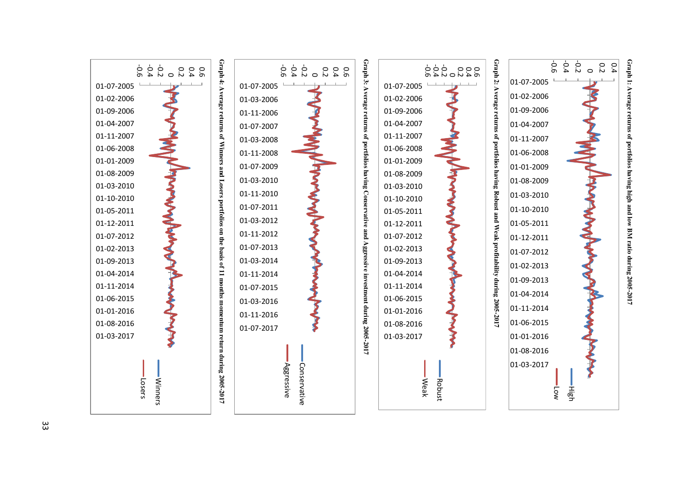